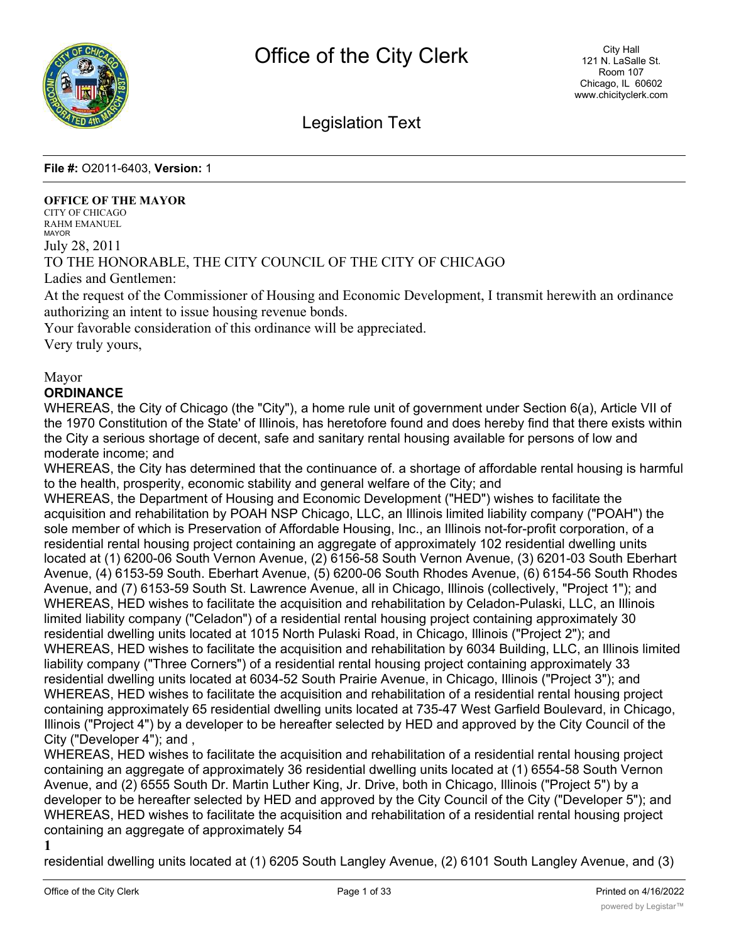

# Legislation Text

**File #:** O2011-6403, **Version:** 1

#### **OFFICE OF THE MAYOR**

CITY OF CHICAGO RAHM EMANUEL MAYOR July 28, 2011 TO THE HONORABLE, THE CITY COUNCIL OF THE CITY OF CHICAGO Ladies and Gentlemen:

At the request of the Commissioner of Housing and Economic Development, I transmit herewith an ordinance authorizing an intent to issue housing revenue bonds.

Your favorable consideration of this ordinance will be appreciated.

Very truly yours,

## Mayor

## **ORDINANCE**

WHEREAS, the City of Chicago (the "City"), a home rule unit of government under Section 6(a), Article VII of the 1970 Constitution of the State' of Illinois, has heretofore found and does hereby find that there exists within the City a serious shortage of decent, safe and sanitary rental housing available for persons of low and moderate income; and

WHEREAS, the City has determined that the continuance of. a shortage of affordable rental housing is harmful to the health, prosperity, economic stability and general welfare of the City; and

WHEREAS, the Department of Housing and Economic Development ("HED") wishes to facilitate the acquisition and rehabilitation by POAH NSP Chicago, LLC, an Illinois limited liability company ("POAH") the sole member of which is Preservation of Affordable Housing, Inc., an Illinois not-for-profit corporation, of a residential rental housing project containing an aggregate of approximately 102 residential dwelling units located at (1) 6200-06 South Vernon Avenue, (2) 6156-58 South Vernon Avenue, (3) 6201-03 South Eberhart Avenue, (4) 6153-59 South. Eberhart Avenue, (5) 6200-06 South Rhodes Avenue, (6) 6154-56 South Rhodes Avenue, and (7) 6153-59 South St. Lawrence Avenue, all in Chicago, Illinois (collectively, "Project 1"); and WHEREAS, HED wishes to facilitate the acquisition and rehabilitation by Celadon-Pulaski, LLC, an Illinois limited liability company ("Celadon") of a residential rental housing project containing approximately 30 residential dwelling units located at 1015 North Pulaski Road, in Chicago, Illinois ("Project 2"); and WHEREAS, HED wishes to facilitate the acquisition and rehabilitation by 6034 Building, LLC, an Illinois limited liability company ("Three Corners") of a residential rental housing project containing approximately 33 residential dwelling units located at 6034-52 South Prairie Avenue, in Chicago, Illinois ("Project 3"); and WHEREAS, HED wishes to facilitate the acquisition and rehabilitation of a residential rental housing project containing approximately 65 residential dwelling units located at 735-47 West Garfield Boulevard, in Chicago, Illinois ("Project 4") by a developer to be hereafter selected by HED and approved by the City Council of the City ("Developer 4"); and ,

WHEREAS, HED wishes to facilitate the acquisition and rehabilitation of a residential rental housing project containing an aggregate of approximately 36 residential dwelling units located at (1) 6554-58 South Vernon Avenue, and (2) 6555 South Dr. Martin Luther King, Jr. Drive, both in Chicago, Illinois ("Project 5") by a developer to be hereafter selected by HED and approved by the City Council of the City ("Developer 5"); and WHEREAS, HED wishes to facilitate the acquisition and rehabilitation of a residential rental housing project containing an aggregate of approximately 54

**1**

residential dwelling units located at (1) 6205 South Langley Avenue, (2) 6101 South Langley Avenue, and (3)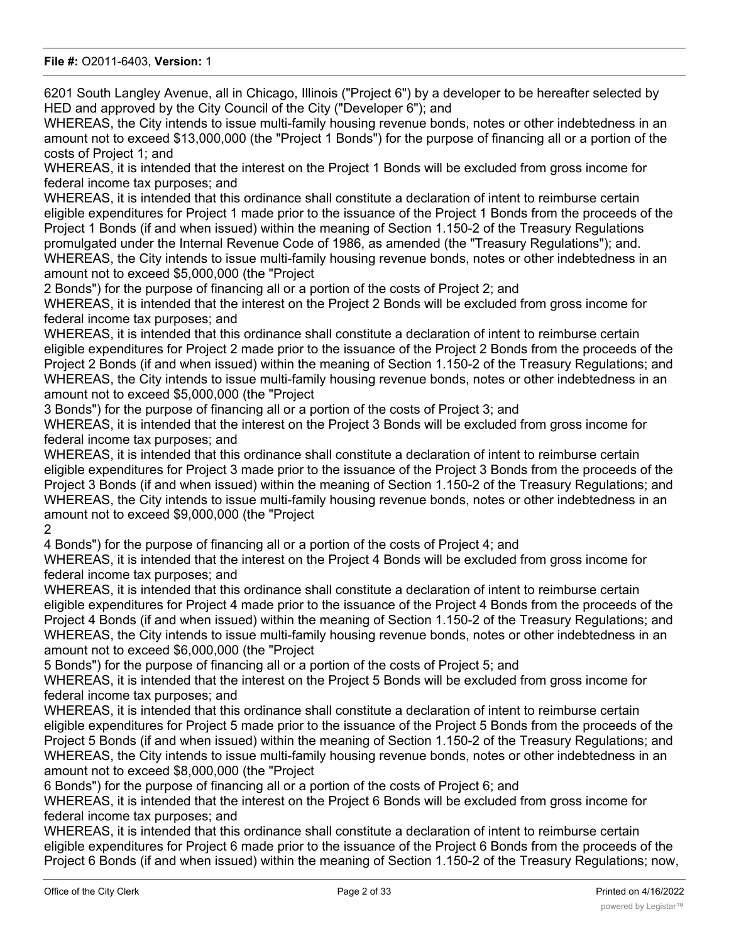6201 South Langley Avenue, all in Chicago, Illinois ("Project 6") by a developer to be hereafter selected by HED and approved by the City Council of the City ("Developer 6"); and

WHEREAS, the City intends to issue multi-family housing revenue bonds, notes or other indebtedness in an amount not to exceed \$13,000,000 (the "Project 1 Bonds") for the purpose of financing all or a portion of the costs of Project 1; and

WHEREAS, it is intended that the interest on the Project 1 Bonds will be excluded from gross income for federal income tax purposes; and

WHEREAS, it is intended that this ordinance shall constitute a declaration of intent to reimburse certain eligible expenditures for Project 1 made prior to the issuance of the Project 1 Bonds from the proceeds of the Project 1 Bonds (if and when issued) within the meaning of Section 1.150-2 of the Treasury Regulations promulgated under the Internal Revenue Code of 1986, as amended (the "Treasury Regulations"); and. WHEREAS, the City intends to issue multi-family housing revenue bonds, notes or other indebtedness in an amount not to exceed \$5,000,000 (the "Project

2 Bonds") for the purpose of financing all or a portion of the costs of Project 2; and

WHEREAS, it is intended that the interest on the Project 2 Bonds will be excluded from gross income for federal income tax purposes; and

WHEREAS, it is intended that this ordinance shall constitute a declaration of intent to reimburse certain eligible expenditures for Project 2 made prior to the issuance of the Project 2 Bonds from the proceeds of the Project 2 Bonds (if and when issued) within the meaning of Section 1.150-2 of the Treasury Regulations; and WHEREAS, the City intends to issue multi-family housing revenue bonds, notes or other indebtedness in an amount not to exceed \$5,000,000 (the "Project

3 Bonds") for the purpose of financing all or a portion of the costs of Project 3; and

WHEREAS, it is intended that the interest on the Project 3 Bonds will be excluded from gross income for federal income tax purposes; and

WHEREAS, it is intended that this ordinance shall constitute a declaration of intent to reimburse certain eligible expenditures for Project 3 made prior to the issuance of the Project 3 Bonds from the proceeds of the Project 3 Bonds (if and when issued) within the meaning of Section 1.150-2 of the Treasury Regulations; and WHEREAS, the City intends to issue multi-family housing revenue bonds, notes or other indebtedness in an amount not to exceed \$9,000,000 (the "Project

2

4 Bonds") for the purpose of financing all or a portion of the costs of Project 4; and

WHEREAS, it is intended that the interest on the Project 4 Bonds will be excluded from gross income for federal income tax purposes; and

WHEREAS, it is intended that this ordinance shall constitute a declaration of intent to reimburse certain eligible expenditures for Project 4 made prior to the issuance of the Project 4 Bonds from the proceeds of the Project 4 Bonds (if and when issued) within the meaning of Section 1.150-2 of the Treasury Regulations; and WHEREAS, the City intends to issue multi-family housing revenue bonds, notes or other indebtedness in an amount not to exceed \$6,000,000 (the "Project

5 Bonds") for the purpose of financing all or a portion of the costs of Project 5; and

WHEREAS, it is intended that the interest on the Project 5 Bonds will be excluded from gross income for federal income tax purposes; and

WHEREAS, it is intended that this ordinance shall constitute a declaration of intent to reimburse certain eligible expenditures for Project 5 made prior to the issuance of the Project 5 Bonds from the proceeds of the Project 5 Bonds (if and when issued) within the meaning of Section 1.150-2 of the Treasury Regulations; and WHEREAS, the City intends to issue multi-family housing revenue bonds, notes or other indebtedness in an amount not to exceed \$8,000,000 (the "Project

6 Bonds") for the purpose of financing all or a portion of the costs of Project 6; and

WHEREAS, it is intended that the interest on the Project 6 Bonds will be excluded from gross income for federal income tax purposes; and

WHEREAS, it is intended that this ordinance shall constitute a declaration of intent to reimburse certain eligible expenditures for Project 6 made prior to the issuance of the Project 6 Bonds from the proceeds of the Project 6 Bonds (if and when issued) within the meaning of Section 1.150-2 of the Treasury Regulations; now,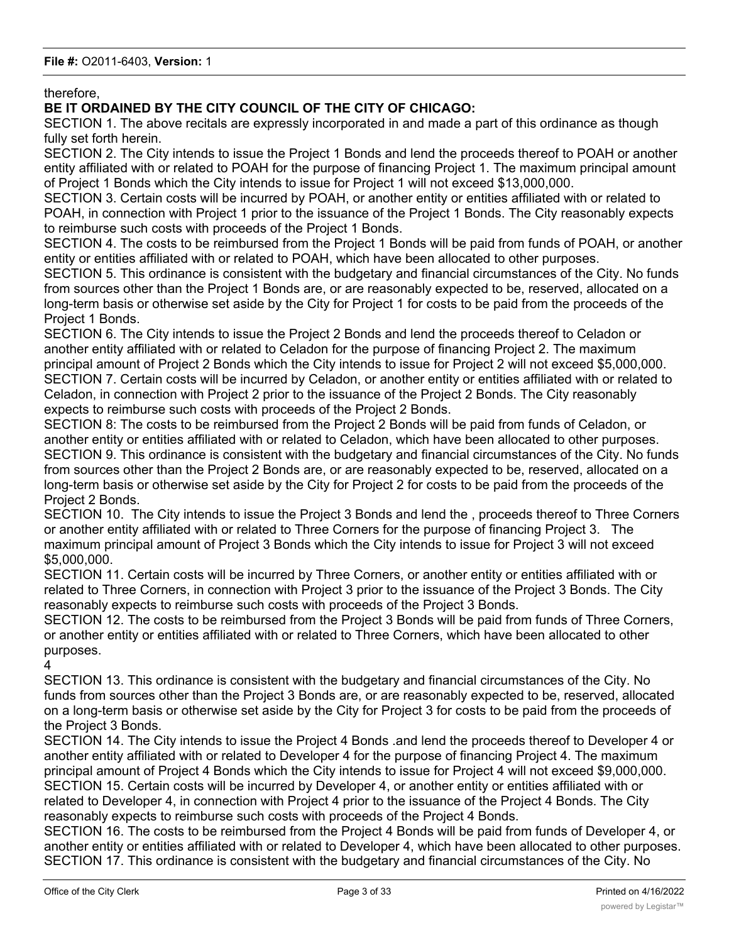therefore,

**BE IT ORDAINED BY THE CITY COUNCIL OF THE CITY OF CHICAGO:**

SECTION 1. The above recitals are expressly incorporated in and made a part of this ordinance as though fully set forth herein.

SECTION 2. The City intends to issue the Project 1 Bonds and lend the proceeds thereof to POAH or another entity affiliated with or related to POAH for the purpose of financing Project 1. The maximum principal amount of Project 1 Bonds which the City intends to issue for Project 1 will not exceed \$13,000,000.

SECTION 3. Certain costs will be incurred by POAH, or another entity or entities affiliated with or related to POAH, in connection with Project 1 prior to the issuance of the Project 1 Bonds. The City reasonably expects to reimburse such costs with proceeds of the Project 1 Bonds.

SECTION 4. The costs to be reimbursed from the Project 1 Bonds will be paid from funds of POAH, or another entity or entities affiliated with or related to POAH, which have been allocated to other purposes.

SECTION 5. This ordinance is consistent with the budgetary and financial circumstances of the City. No funds from sources other than the Project 1 Bonds are, or are reasonably expected to be, reserved, allocated on a long-term basis or otherwise set aside by the City for Project 1 for costs to be paid from the proceeds of the Project 1 Bonds.

SECTION 6. The City intends to issue the Project 2 Bonds and lend the proceeds thereof to Celadon or another entity affiliated with or related to Celadon for the purpose of financing Project 2. The maximum principal amount of Project 2 Bonds which the City intends to issue for Project 2 will not exceed \$5,000,000. SECTION 7. Certain costs will be incurred by Celadon, or another entity or entities affiliated with or related to Celadon, in connection with Project 2 prior to the issuance of the Project 2 Bonds. The City reasonably expects to reimburse such costs with proceeds of the Project 2 Bonds.

SECTION 8: The costs to be reimbursed from the Project 2 Bonds will be paid from funds of Celadon, or another entity or entities affiliated with or related to Celadon, which have been allocated to other purposes. SECTION 9. This ordinance is consistent with the budgetary and financial circumstances of the City. No funds from sources other than the Project 2 Bonds are, or are reasonably expected to be, reserved, allocated on a long-term basis or otherwise set aside by the City for Project 2 for costs to be paid from the proceeds of the Project 2 Bonds.

SECTION 10. The City intends to issue the Project 3 Bonds and lend the , proceeds thereof to Three Corners or another entity affiliated with or related to Three Corners for the purpose of financing Project 3. The maximum principal amount of Project 3 Bonds which the City intends to issue for Project 3 will not exceed \$5,000,000.

SECTION 11. Certain costs will be incurred by Three Corners, or another entity or entities affiliated with or related to Three Corners, in connection with Project 3 prior to the issuance of the Project 3 Bonds. The City reasonably expects to reimburse such costs with proceeds of the Project 3 Bonds.

SECTION 12. The costs to be reimbursed from the Project 3 Bonds will be paid from funds of Three Corners, or another entity or entities affiliated with or related to Three Corners, which have been allocated to other purposes.

4

SECTION 13. This ordinance is consistent with the budgetary and financial circumstances of the City. No funds from sources other than the Project 3 Bonds are, or are reasonably expected to be, reserved, allocated on a long-term basis or otherwise set aside by the City for Project 3 for costs to be paid from the proceeds of the Project 3 Bonds.

SECTION 14. The City intends to issue the Project 4 Bonds .and lend the proceeds thereof to Developer 4 or another entity affiliated with or related to Developer 4 for the purpose of financing Project 4. The maximum principal amount of Project 4 Bonds which the City intends to issue for Project 4 will not exceed \$9,000,000. SECTION 15. Certain costs will be incurred by Developer 4, or another entity or entities affiliated with or related to Developer 4, in connection with Project 4 prior to the issuance of the Project 4 Bonds. The City reasonably expects to reimburse such costs with proceeds of the Project 4 Bonds.

SECTION 16. The costs to be reimbursed from the Project 4 Bonds will be paid from funds of Developer 4, or another entity or entities affiliated with or related to Developer 4, which have been allocated to other purposes. SECTION 17. This ordinance is consistent with the budgetary and financial circumstances of the City. No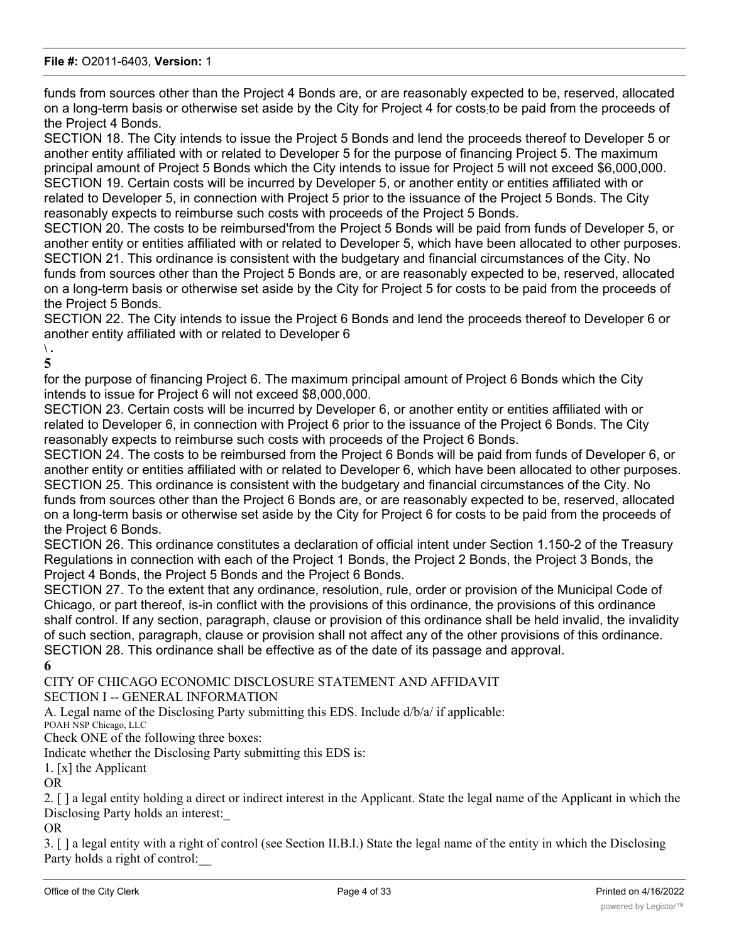funds from sources other than the Project 4 Bonds are, or are reasonably expected to be, reserved, allocated on a long-term basis or otherwise set aside by the City for Project 4 for costs:to be paid from the proceeds of the Project 4 Bonds.

SECTION 18. The City intends to issue the Project 5 Bonds and lend the proceeds thereof to Developer 5 or another entity affiliated with or related to Developer 5 for the purpose of financing Project 5. The maximum principal amount of Project 5 Bonds which the City intends to issue for Project 5 will not exceed \$6,000,000. SECTION 19. Certain costs will be incurred by Developer 5, or another entity or entities affiliated with or related to Developer 5, in connection with Project 5 prior to the issuance of the Project 5 Bonds. The City reasonably expects to reimburse such costs with proceeds of the Project 5 Bonds.

SECTION 20. The costs to be reimbursed'from the Project 5 Bonds will be paid from funds of Developer 5, or another entity or entities affiliated with or related to Developer 5, which have been allocated to other purposes. SECTION 21. This ordinance is consistent with the budgetary and financial circumstances of the City. No funds from sources other than the Project 5 Bonds are, or are reasonably expected to be, reserved, allocated on a long-term basis or otherwise set aside by the City for Project 5 for costs to be paid from the proceeds of the Project 5 Bonds.

SECTION 22. The City intends to issue the Project 6 Bonds and lend the proceeds thereof to Developer 6 or another entity affiliated with or related to Developer 6

# **\ .**

**5**

for the purpose of financing Project 6. The maximum principal amount of Project 6 Bonds which the City intends to issue for Project 6 will not exceed \$8,000,000.

SECTION 23. Certain costs will be incurred by Developer 6, or another entity or entities affiliated with or related to Developer 6, in connection with Project 6 prior to the issuance of the Project 6 Bonds. The City reasonably expects to reimburse such costs with proceeds of the Project 6 Bonds.

SECTION 24. The costs to be reimbursed from the Project 6 Bonds will be paid from funds of Developer 6, or another entity or entities affiliated with or related to Developer 6, which have been allocated to other purposes. SECTION 25. This ordinance is consistent with the budgetary and financial circumstances of the City. No funds from sources other than the Project 6 Bonds are, or are reasonably expected to be, reserved, allocated on a long-term basis or otherwise set aside by the City for Project 6 for costs to be paid from the proceeds of the Project 6 Bonds.

SECTION 26. This ordinance constitutes a declaration of official intent under Section 1.150-2 of the Treasury Regulations in connection with each of the Project 1 Bonds, the Project 2 Bonds, the Project 3 Bonds, the Project 4 Bonds, the Project 5 Bonds and the Project 6 Bonds.

SECTION 27. To the extent that any ordinance, resolution, rule, order or provision of the Municipal Code of Chicago, or part thereof, is-in conflict with the provisions of this ordinance, the provisions of this ordinance shalf control. If any section, paragraph, clause or provision of this ordinance shall be held invalid, the invalidity of such section, paragraph, clause or provision shall not affect any of the other provisions of this ordinance. SECTION 28. This ordinance shall be effective as of the date of its passage and approval.

**6**

CITY OF CHICAGO ECONOMIC DISCLOSURE STATEMENT AND AFFIDAVIT

SECTION I -- GENERAL INFORMATION

A. Legal name of the Disclosing Party submitting this EDS. Include d/b/a/ if applicable:

POAH NSP Chicago, LLC

Check ONE of the following three boxes:

Indicate whether the Disclosing Party submitting this EDS is:

1. [x] the Applicant

OR

2. [ ] a legal entity holding a direct or indirect interest in the Applicant. State the legal name of the Applicant in which the Disclosing Party holds an interest:\_

OR

3. [ ] a legal entity with a right of control (see Section II.B.l.) State the legal name of the entity in which the Disclosing Party holds a right of control:\_\_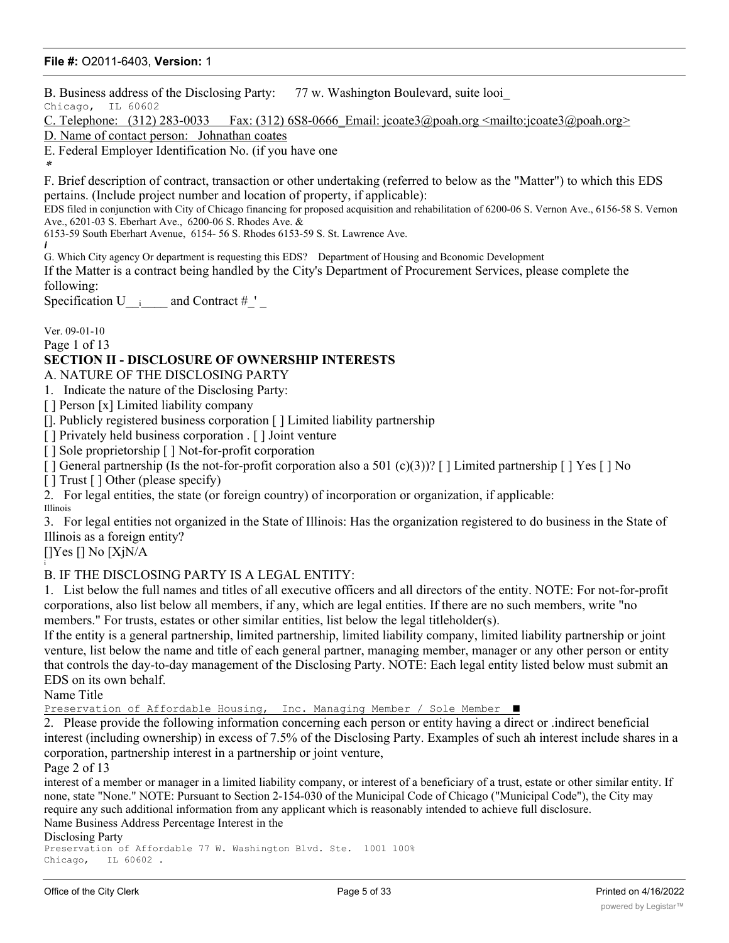B. Business address of the Disclosing Party: 77 w. Washington Boulevard, suite looi\_

Chicago, IL 60602

C. Telephone:  $(312)$  283-0033 Fax:  $(312)$  6S8-0666 Email: jcoate3@poah.org <mailto:jcoate3@poah.org>

D. Name of contact person: Johnathan coates

E. Federal Employer Identification No. (if you have one

\*

F. Brief description of contract, transaction or other undertaking (referred to below as the "Matter") to which this EDS pertains. (Include project number and location of property, if applicable):

EDS filed in conjunction with City of Chicago financing for proposed acquisition and rehabilitation of 6200-06 S. Vernon Ave., 6156-58 S. Vernon Ave., 6201-03 S. Eberhart Ave., 6200-06 S. Rhodes Ave. &

6153-59 South Eberhart Avenue, 6154- 56 S. Rhodes 6153-59 S. St. Lawrence Ave.

*i* G. Which City agency Or department is requesting this EDS? Department of Housing and Bconomic Development

If the Matter is a contract being handled by the City's Department of Procurement Services, please complete the following:

Specification U  $_{i}$  and Contract # '

Ver. 09-01-10

Page 1 of 13

## **SECTION II - DISCLOSURE OF OWNERSHIP INTERESTS**

A. NATURE OF THE DISCLOSING PARTY

1. Indicate the nature of the Disclosing Party:

[] Person [x] Limited liability company

[]. Publicly registered business corporation [ ] Limited liability partnership

[ ] Privately held business corporation . [ ] Joint venture

[] Sole proprietorship [] Not-for-profit corporation

 $\lceil \cdot \rceil$  General partnership (Is the not-for-profit corporation also a 501 (c)(3))?  $\lceil \cdot \rceil$  Limited partnership  $\lceil \cdot \rceil$  Yes  $\lceil \cdot \rceil$  No

[ ] Trust [ ] Other (please specify)

2. For legal entities, the state (or foreign country) of incorporation or organization, if applicable:

Illinois

3. For legal entities not organized in the State of Illinois: Has the organization registered to do business in the State of Illinois as a foreign entity?

[]Yes [] No [XjN/A i

## B. IF THE DISCLOSING PARTY IS A LEGAL ENTITY:

1. List below the full names and titles of all executive officers and all directors of the entity. NOTE: For not-for-profit corporations, also list below all members, if any, which are legal entities. If there are no such members, write "no members." For trusts, estates or other similar entities, list below the legal titleholder(s).

If the entity is a general partnership, limited partnership, limited liability company, limited liability partnership or joint venture, list below the name and title of each general partner, managing member, manager or any other person or entity that controls the day-to-day management of the Disclosing Party. NOTE: Each legal entity listed below must submit an EDS on its own behalf.

Name Title

Preservation of Affordable Housing, Inc. Managing Member / Sole Member ■

2. Please provide the following information concerning each person or entity having a direct or .indirect beneficial interest (including ownership) in excess of 7.5% of the Disclosing Party. Examples of such ah interest include shares in a corporation, partnership interest in a partnership or joint venture,

Page 2 of 13

interest of a member or manager in a limited liability company, or interest of a beneficiary of a trust, estate or other similar entity. If none, state "None." NOTE: Pursuant to Section 2-154-030 of the Municipal Code of Chicago ("Municipal Code"), the City may require any such additional information from any applicant which is reasonably intended to achieve full disclosure. Name Business Address Percentage Interest in the

Disclosing Party

Preservation of Affordable 77 W. Washington Blvd. Ste. 1001 100% Chicago, IL 60602 .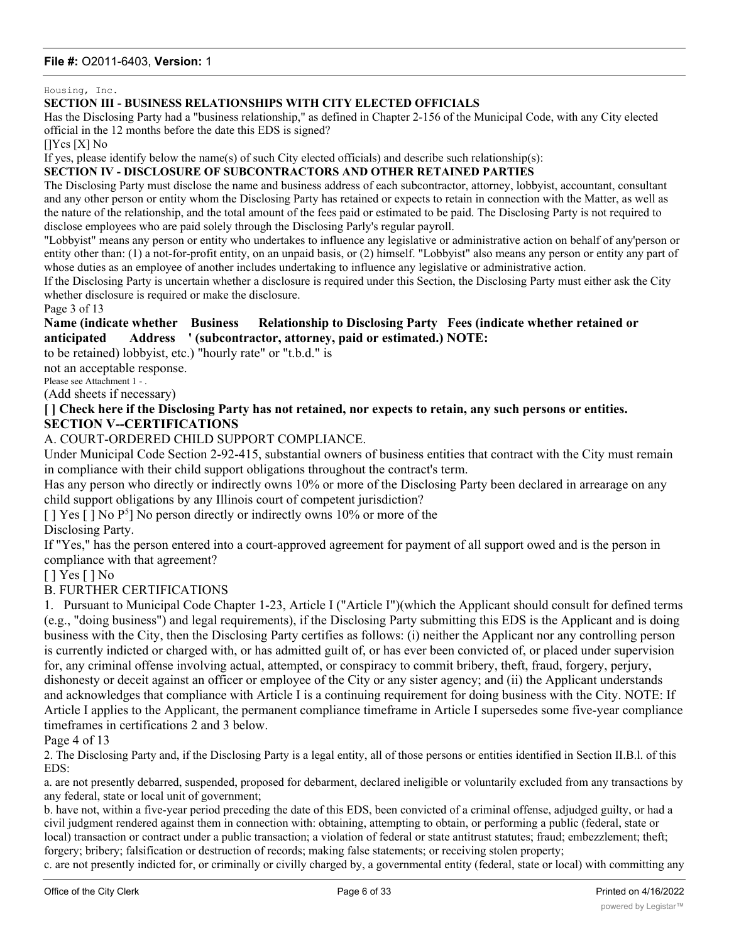Housing, Inc.

#### **SECTION III - BUSINESS RELATIONSHIPS WITH CITY ELECTED OFFICIALS**

Has the Disclosing Party had a "business relationship," as defined in Chapter 2-156 of the Municipal Code, with any City elected official in the 12 months before the date this EDS is signed?

[]Ycs [X] No

If yes, please identify below the name(s) of such City elected officials) and describe such relationship(s):

#### **SECTION IV - DISCLOSURE OF SUBCONTRACTORS AND OTHER RETAINED PARTIES**

The Disclosing Party must disclose the name and business address of each subcontractor, attorney, lobbyist, accountant, consultant and any other person or entity whom the Disclosing Party has retained or expects to retain in connection with the Matter, as well as the nature of the relationship, and the total amount of the fees paid or estimated to be paid. The Disclosing Party is not required to disclose employees who are paid solely through the Disclosing Parly's regular payroll.

"Lobbyist" means any person or entity who undertakes to influence any legislative or administrative action on behalf of any'person or entity other than: (1) a not-for-profit entity, on an unpaid basis, or (2) himself. "Lobbyist" also means any person or entity any part of whose duties as an employee of another includes undertaking to influence any legislative or administrative action.

If the Disclosing Party is uncertain whether a disclosure is required under this Section, the Disclosing Party must either ask the City whether disclosure is required or make the disclosure.

Page 3 of 13

#### **Name (indicate whether Business Relationship to Disclosing Party Fees (indicate whether retained or anticipated Address ' (subcontractor, attorney, paid or estimated.) NOTE:**

to be retained) lobbyist, etc.) "hourly rate" or "t.b.d." is

not an acceptable response.

Please see Attachment 1 - .

(Add sheets if necessary)

## **[ ] Check here if the Disclosing Party has not retained, nor expects to retain, any such persons or entities. SECTION V--CERTIFICATIONS**

## A. COURT-ORDERED CHILD SUPPORT COMPLIANCE.

Under Municipal Code Section 2-92-415, substantial owners of business entities that contract with the City must remain in compliance with their child support obligations throughout the contract's term.

Has any person who directly or indirectly owns 10% or more of the Disclosing Party been declared in arrearage on any child support obligations by any Illinois court of competent jurisdiction?

[] Yes [] No P<sup>5</sup>] No person directly or indirectly owns 10% or more of the

#### Disclosing Party.

If "Yes," has the person entered into a court-approved agreement for payment of all support owed and is the person in compliance with that agreement?

[ ] Yes [ ] No

## B. FURTHER CERTIFICATIONS

1. Pursuant to Municipal Code Chapter 1-23, Article I ("Article I")(which the Applicant should consult for defined terms (e.g., "doing business") and legal requirements), if the Disclosing Party submitting this EDS is the Applicant and is doing business with the City, then the Disclosing Party certifies as follows: (i) neither the Applicant nor any controlling person is currently indicted or charged with, or has admitted guilt of, or has ever been convicted of, or placed under supervision for, any criminal offense involving actual, attempted, or conspiracy to commit bribery, theft, fraud, forgery, perjury, dishonesty or deceit against an officer or employee of the City or any sister agency; and (ii) the Applicant understands and acknowledges that compliance with Article I is a continuing requirement for doing business with the City. NOTE: If Article I applies to the Applicant, the permanent compliance timeframe in Article I supersedes some five-year compliance timeframes in certifications 2 and 3 below.

Page 4 of 13

2. The Disclosing Party and, if the Disclosing Party is a legal entity, all of those persons or entities identified in Section II.B.l. of this EDS:

a. are not presently debarred, suspended, proposed for debarment, declared ineligible or voluntarily excluded from any transactions by any federal, state or local unit of government;

b. have not, within a five-year period preceding the date of this EDS, been convicted of a criminal offense, adjudged guilty, or had a civil judgment rendered against them in connection with: obtaining, attempting to obtain, or performing a public (federal, state or local) transaction or contract under a public transaction; a violation of federal or state antitrust statutes; fraud; embezzlement; theft; forgery; bribery; falsification or destruction of records; making false statements; or receiving stolen property;

c. are not presently indicted for, or criminally or civilly charged by, a governmental entity (federal, state or local) with committing any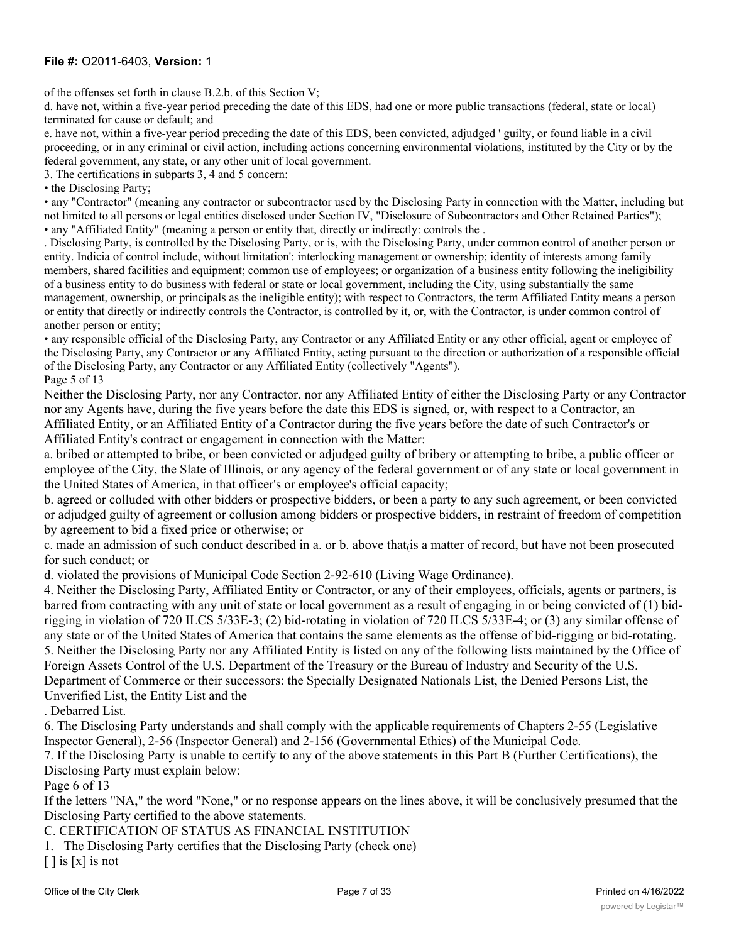of the offenses set forth in clause B.2.b. of this Section V;

d. have not, within a five-year period preceding the date of this EDS, had one or more public transactions (federal, state or local) terminated for cause or default; and

e. have not, within a five-year period preceding the date of this EDS, been convicted, adjudged ' guilty, or found liable in a civil proceeding, or in any criminal or civil action, including actions concerning environmental violations, instituted by the City or by the federal government, any state, or any other unit of local government.

3. The certifications in subparts 3, 4 and 5 concern:

• the Disclosing Party;

• any "Contractor" (meaning any contractor or subcontractor used by the Disclosing Party in connection with the Matter, including but not limited to all persons or legal entities disclosed under Section IV, "Disclosure of Subcontractors and Other Retained Parties"); • any "Affiliated Entity" (meaning a person or entity that, directly or indirectly: controls the .

. Disclosing Party, is controlled by the Disclosing Party, or is, with the Disclosing Party, under common control of another person or entity. Indicia of control include, without limitation': interlocking management or ownership; identity of interests among family members, shared facilities and equipment; common use of employees; or organization of a business entity following the ineligibility of a business entity to do business with federal or state or local government, including the City, using substantially the same management, ownership, or principals as the ineligible entity); with respect to Contractors, the term Affiliated Entity means a person or entity that directly or indirectly controls the Contractor, is controlled by it, or, with the Contractor, is under common control of another person or entity;

• any responsible official of the Disclosing Party, any Contractor or any Affiliated Entity or any other official, agent or employee of the Disclosing Party, any Contractor or any Affiliated Entity, acting pursuant to the direction or authorization of a responsible official of the Disclosing Party, any Contractor or any Affiliated Entity (collectively "Agents"). Page 5 of 13

Neither the Disclosing Party, nor any Contractor, nor any Affiliated Entity of either the Disclosing Party or any Contractor nor any Agents have, during the five years before the date this EDS is signed, or, with respect to a Contractor, an Affiliated Entity, or an Affiliated Entity of a Contractor during the five years before the date of such Contractor's or Affiliated Entity's contract or engagement in connection with the Matter:

a. bribed or attempted to bribe, or been convicted or adjudged guilty of bribery or attempting to bribe, a public officer or employee of the City, the Slate of Illinois, or any agency of the federal government or of any state or local government in the United States of America, in that officer's or employee's official capacity;

b. agreed or colluded with other bidders or prospective bidders, or been a party to any such agreement, or been convicted or adjudged guilty of agreement or collusion among bidders or prospective bidders, in restraint of freedom of competition by agreement to bid a fixed price or otherwise; or

c. made an admission of such conduct described in a. or b. above that $\alpha$  a matter of record, but have not been prosecuted for such conduct; or

d. violated the provisions of Municipal Code Section 2-92-610 (Living Wage Ordinance).

4. Neither the Disclosing Party, Affiliated Entity or Contractor, or any of their employees, officials, agents or partners, is barred from contracting with any unit of state or local government as a result of engaging in or being convicted of (1) bidrigging in violation of 720 ILCS 5/33E-3; (2) bid-rotating in violation of 720 ILCS 5/33E-4; or (3) any similar offense of any state or of the United States of America that contains the same elements as the offense of bid-rigging or bid-rotating. 5. Neither the Disclosing Party nor any Affiliated Entity is listed on any of the following lists maintained by the Office of Foreign Assets Control of the U.S. Department of the Treasury or the Bureau of Industry and Security of the U.S. Department of Commerce or their successors: the Specially Designated Nationals List, the Denied Persons List, the Unverified List, the Entity List and the

. Debarred List.

6. The Disclosing Party understands and shall comply with the applicable requirements of Chapters 2-55 (Legislative Inspector General), 2-56 (Inspector General) and 2-156 (Governmental Ethics) of the Municipal Code.

7. If the Disclosing Party is unable to certify to any of the above statements in this Part B (Further Certifications), the Disclosing Party must explain below:

Page 6 of 13

If the letters "NA," the word "None," or no response appears on the lines above, it will be conclusively presumed that the Disclosing Party certified to the above statements.

C. CERTIFICATION OF STATUS AS FINANCIAL INSTITUTION

1. The Disclosing Party certifies that the Disclosing Party (check one)

 $\lceil \cdot \rceil$  is  $\lceil x \rceil$  is not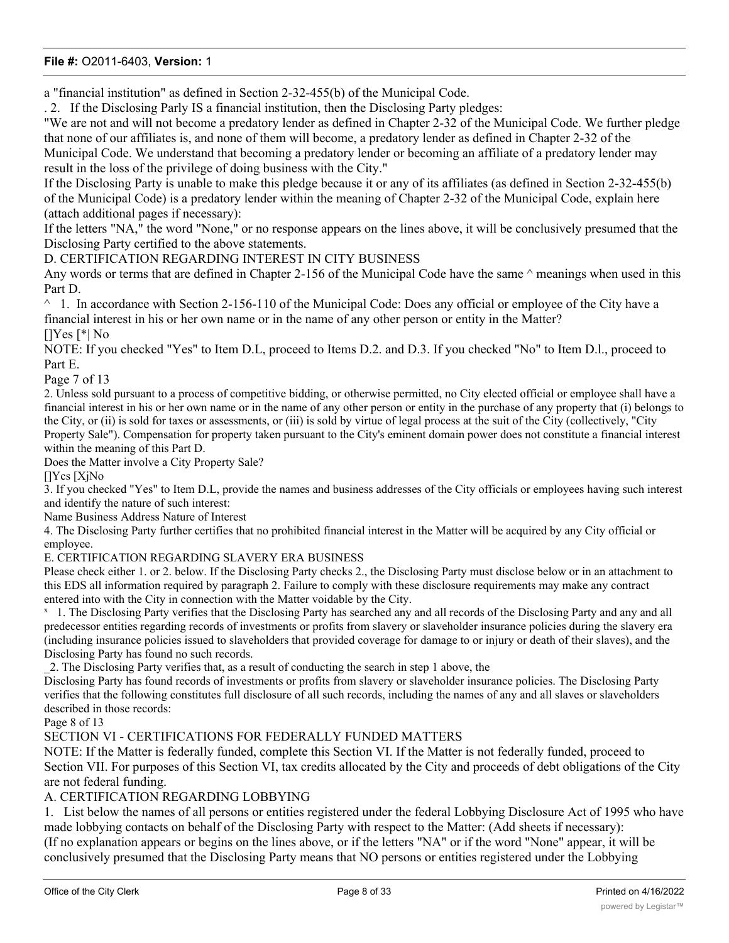a "financial institution" as defined in Section 2-32-455(b) of the Municipal Code.

. 2. If the Disclosing Parly IS a financial institution, then the Disclosing Party pledges:

"We are not and will not become a predatory lender as defined in Chapter 2-32 of the Municipal Code. We further pledge that none of our affiliates is, and none of them will become, a predatory lender as defined in Chapter 2-32 of the Municipal Code. We understand that becoming a predatory lender or becoming an affiliate of a predatory lender may result in the loss of the privilege of doing business with the City."

If the Disclosing Party is unable to make this pledge because it or any of its affiliates (as defined in Section 2-32-455(b) of the Municipal Code) is a predatory lender within the meaning of Chapter 2-32 of the Municipal Code, explain here (attach additional pages if necessary):

If the letters "NA," the word "None," or no response appears on the lines above, it will be conclusively presumed that the Disclosing Party certified to the above statements.

D. CERTIFICATION REGARDING INTEREST IN CITY BUSINESS

Any words or terms that are defined in Chapter 2-156 of the Municipal Code have the same  $\land$  meanings when used in this Part D.

 $\land$  1. In accordance with Section 2-156-110 of the Municipal Code: Does any official or employee of the City have a financial interest in his or her own name or in the name of any other person or entity in the Matter? []Yes [\*| No

NOTE: If you checked "Yes" to Item D.L, proceed to Items D.2. and D.3. If you checked "No" to Item D.l., proceed to Part E.

Page 7 of 13

2. Unless sold pursuant to a process of competitive bidding, or otherwise permitted, no City elected official or employee shall have a financial interest in his or her own name or in the name of any other person or entity in the purchase of any property that (i) belongs to the City, or (ii) is sold for taxes or assessments, or (iii) is sold by virtue of legal process at the suit of the City (collectively, "City Property Sale"). Compensation for property taken pursuant to the City's eminent domain power does not constitute a financial interest within the meaning of this Part D.

Does the Matter involve a City Property Sale?

[]Ycs [XjNo

3. If you checked "Yes" to Item D.L, provide the names and business addresses of the City officials or employees having such interest and identify the nature of such interest:

Name Business Address Nature of Interest

4. The Disclosing Party further certifies that no prohibited financial interest in the Matter will be acquired by any City official or employee.

E. CERTIFICATION REGARDING SLAVERY ERA BUSINESS

Please check either 1. or 2. below. If the Disclosing Party checks 2., the Disclosing Party must disclose below or in an attachment to this EDS all information required by paragraph 2. Failure to comply with these disclosure requirements may make any contract entered into with the City in connection with the Matter voidable by the City.

<sup>x</sup> 1. The Disclosing Party verifies that the Disclosing Party has searched any and all records of the Disclosing Party and any and all predecessor entities regarding records of investments or profits from slavery or slaveholder insurance policies during the slavery era (including insurance policies issued to slaveholders that provided coverage for damage to or injury or death of their slaves), and the Disclosing Party has found no such records.

\_2. The Disclosing Party verifies that, as a result of conducting the search in step 1 above, the

Disclosing Party has found records of investments or profits from slavery or slaveholder insurance policies. The Disclosing Party verifies that the following constitutes full disclosure of all such records, including the names of any and all slaves or slaveholders described in those records:

Page 8 of 13

## SECTION VI - CERTIFICATIONS FOR FEDERALLY FUNDED MATTERS

NOTE: If the Matter is federally funded, complete this Section VI. If the Matter is not federally funded, proceed to Section VII. For purposes of this Section VI, tax credits allocated by the City and proceeds of debt obligations of the City are not federal funding.

## A. CERTIFICATION REGARDING LOBBYING

1. List below the names of all persons or entities registered under the federal Lobbying Disclosure Act of 1995 who have made lobbying contacts on behalf of the Disclosing Party with respect to the Matter: (Add sheets if necessary): (If no explanation appears or begins on the lines above, or if the letters "NA" or if the word "None" appear, it will be conclusively presumed that the Disclosing Party means that NO persons or entities registered under the Lobbying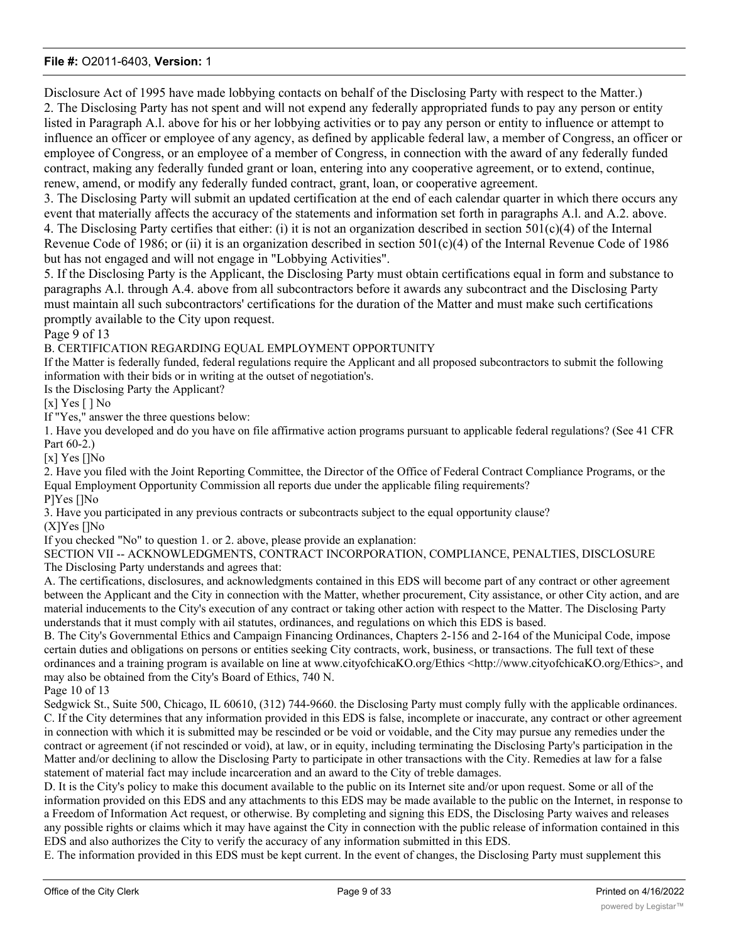Disclosure Act of 1995 have made lobbying contacts on behalf of the Disclosing Party with respect to the Matter.) 2. The Disclosing Party has not spent and will not expend any federally appropriated funds to pay any person or entity listed in Paragraph A.l. above for his or her lobbying activities or to pay any person or entity to influence or attempt to influence an officer or employee of any agency, as defined by applicable federal law, a member of Congress, an officer or employee of Congress, or an employee of a member of Congress, in connection with the award of any federally funded contract, making any federally funded grant or loan, entering into any cooperative agreement, or to extend, continue, renew, amend, or modify any federally funded contract, grant, loan, or cooperative agreement.

3. The Disclosing Party will submit an updated certification at the end of each calendar quarter in which there occurs any event that materially affects the accuracy of the statements and information set forth in paragraphs A.l. and A.2. above. 4. The Disclosing Party certifies that either: (i) it is not an organization described in section  $501(c)(4)$  of the Internal

Revenue Code of 1986; or (ii) it is an organization described in section  $501(c)(4)$  of the Internal Revenue Code of 1986 but has not engaged and will not engage in "Lobbying Activities".

5. If the Disclosing Party is the Applicant, the Disclosing Party must obtain certifications equal in form and substance to paragraphs A.l. through A.4. above from all subcontractors before it awards any subcontract and the Disclosing Party must maintain all such subcontractors' certifications for the duration of the Matter and must make such certifications promptly available to the City upon request.

Page 9 of 13

B. CERTIFICATION REGARDING EQUAL EMPLOYMENT OPPORTUNITY

If the Matter is federally funded, federal regulations require the Applicant and all proposed subcontractors to submit the following information with their bids or in writing at the outset of negotiation's.

Is the Disclosing Party the Applicant?

[x] Yes [ ] No

If "Yes," answer the three questions below:

1. Have you developed and do you have on file affirmative action programs pursuant to applicable federal regulations? (See 41 CFR Part 60-2.)

[x] Yes []No

2. Have you filed with the Joint Reporting Committee, the Director of the Office of Federal Contract Compliance Programs, or the Equal Employment Opportunity Commission all reports due under the applicable filing requirements? P]Yes []No

3. Have you participated in any previous contracts or subcontracts subject to the equal opportunity clause?

(X]Yes []No

If you checked "No" to question 1. or 2. above, please provide an explanation:

SECTION VII -- ACKNOWLEDGMENTS, CONTRACT INCORPORATION, COMPLIANCE, PENALTIES, DISCLOSURE The Disclosing Party understands and agrees that:

A. The certifications, disclosures, and acknowledgments contained in this EDS will become part of any contract or other agreement between the Applicant and the City in connection with the Matter, whether procurement, City assistance, or other City action, and are material inducements to the City's execution of any contract or taking other action with respect to the Matter. The Disclosing Party understands that it must comply with ail statutes, ordinances, and regulations on which this EDS is based.

B. The City's Governmental Ethics and Campaign Financing Ordinances, Chapters 2-156 and 2-164 of the Municipal Code, impose certain duties and obligations on persons or entities seeking City contracts, work, business, or transactions. The full text of these ordinances and a training program is available on line at www.cityofchicaKO.org/Ethics <http://www.cityofchicaKO.org/Ethics>, and may also be obtained from the City's Board of Ethics, 740 N.

Page 10 of 13

Sedgwick St., Suite 500, Chicago, IL 60610, (312) 744-9660. the Disclosing Party must comply fully with the applicable ordinances. C. If the City determines that any information provided in this EDS is false, incomplete or inaccurate, any contract or other agreement in connection with which it is submitted may be rescinded or be void or voidable, and the City may pursue any remedies under the contract or agreement (if not rescinded or void), at law, or in equity, including terminating the Disclosing Party's participation in the Matter and/or declining to allow the Disclosing Party to participate in other transactions with the City. Remedies at law for a false statement of material fact may include incarceration and an award to the City of treble damages.

D. It is the City's policy to make this document available to the public on its Internet site and/or upon request. Some or all of the information provided on this EDS and any attachments to this EDS may be made available to the public on the Internet, in response to a Freedom of Information Act request, or otherwise. By completing and signing this EDS, the Disclosing Party waives and releases any possible rights or claims which it may have against the City in connection with the public release of information contained in this EDS and also authorizes the City to verify the accuracy of any information submitted in this EDS.

E. The information provided in this EDS must be kept current. In the event of changes, the Disclosing Party must supplement this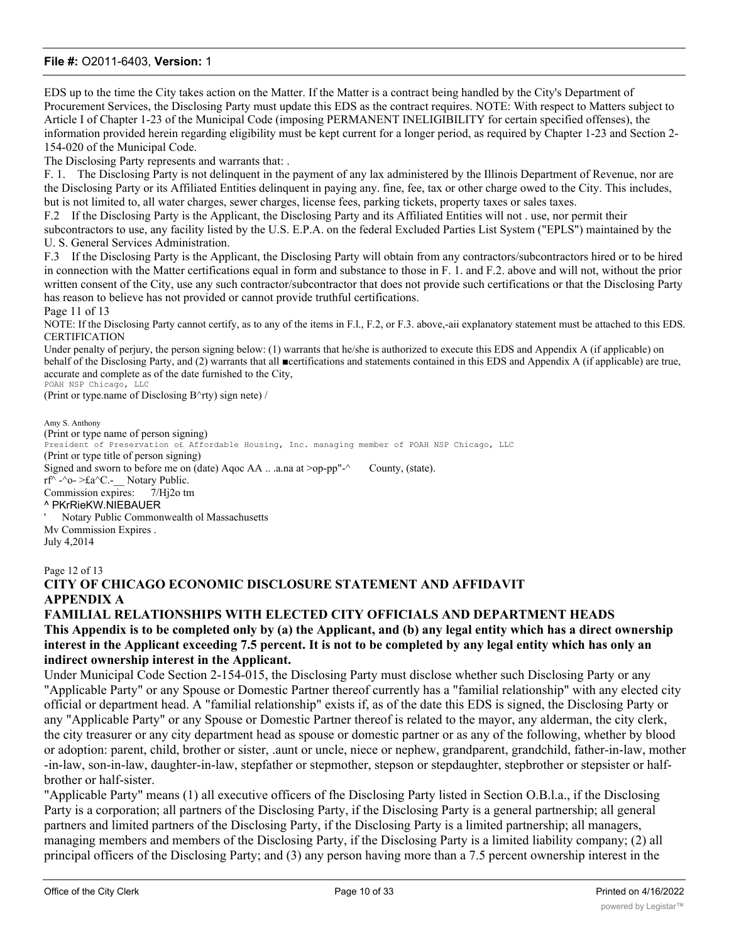EDS up to the time the City takes action on the Matter. If the Matter is a contract being handled by the City's Department of Procurement Services, the Disclosing Party must update this EDS as the contract requires. NOTE: With respect to Matters subject to Article I of Chapter 1-23 of the Municipal Code (imposing PERMANENT INELIGIBILITY for certain specified offenses), the information provided herein regarding eligibility must be kept current for a longer period, as required by Chapter 1-23 and Section 2- 154-020 of the Municipal Code.

The Disclosing Party represents and warrants that: .

F. 1. The Disclosing Party is not delinquent in the payment of any lax administered by the Illinois Department of Revenue, nor are the Disclosing Party or its Affiliated Entities delinquent in paying any. fine, fee, tax or other charge owed to the City. This includes, but is not limited to, all water charges, sewer charges, license fees, parking tickets, property taxes or sales taxes.

F.2 If the Disclosing Party is the Applicant, the Disclosing Party and its Affiliated Entities will not . use, nor permit their

subcontractors to use, any facility listed by the U.S. E.P.A. on the federal Excluded Parties List System ("EPLS") maintained by the U. S. General Services Administration.

F.3 If the Disclosing Party is the Applicant, the Disclosing Party will obtain from any contractors/subcontractors hired or to be hired in connection with the Matter certifications equal in form and substance to those in F. 1. and F.2. above and will not, without the prior written consent of the City, use any such contractor/subcontractor that does not provide such certifications or that the Disclosing Party has reason to believe has not provided or cannot provide truthful certifications.

Page 11 of 13

NOTE: If the Disclosing Party cannot certify, as to any of the items in F.l., F.2, or F.3. above,-aii explanatory statement must be attached to this EDS. CERTIFICATION

Under penalty of perjury, the person signing below: (1) warrants that he/she is authorized to execute this EDS and Appendix A (if applicable) on behalf of the Disclosing Party, and (2) warrants that all ■certifications and statements contained in this EDS and Appendix A (if applicable) are true, accurate and complete as of the date furnished to the City, POAH NSP Chicago, LLC

(Print or type.name of Disclosing B^rty) sign nete) /

Amy S. Anthony (Print or type name of person signing) President of Preservation of Affordable Housing, Inc. managing member of POAH NSP Chicago, LLC (Print or type title of person signing) Signed and sworn to before me on (date) Agoc AA ...a.na at >op-pp"-^ County, (state).  $\text{rf}^{\wedge}$  -^o- >£a^C.- Notary Public. Commission expires: 7/Hj2o tm ^ PKrRieKW.NIEBAUER ' Notary Public Commonwealth ol Massachusetts Mv Commission Expires . July 4,2014

#### Page 12 of 13

# **CITY OF CHICAGO ECONOMIC DISCLOSURE STATEMENT AND AFFIDAVIT APPENDIX A**

## **FAMILIAL RELATIONSHIPS WITH ELECTED CITY OFFICIALS AND DEPARTMENT HEADS This Appendix is to be completed only by (a) the Applicant, and (b) any legal entity which has a direct ownership interest in the Applicant exceeding 7.5 percent. It is not to be completed by any legal entity which has only an indirect ownership interest in the Applicant.**

Under Municipal Code Section 2-154-015, the Disclosing Party must disclose whether such Disclosing Party or any "Applicable Party" or any Spouse or Domestic Partner thereof currently has a "familial relationship" with any elected city official or department head. A "familial relationship" exists if, as of the date this EDS is signed, the Disclosing Party or any "Applicable Party" or any Spouse or Domestic Partner thereof is related to the mayor, any alderman, the city clerk, the city treasurer or any city department head as spouse or domestic partner or as any of the following, whether by blood or adoption: parent, child, brother or sister, .aunt or uncle, niece or nephew, grandparent, grandchild, father-in-law, mother -in-law, son-in-law, daughter-in-law, stepfather or stepmother, stepson or stepdaughter, stepbrother or stepsister or halfbrother or half-sister.

"Applicable Party" means (1) all executive officers of fhe Disclosing Party listed in Section O.B.l.a., if the Disclosing Party is a corporation; all partners of the Disclosing Party, if the Disclosing Party is a general partnership; all general partners and limited partners of the Disclosing Party, if the Disclosing Party is a limited partnership; all managers, managing members and members of the Disclosing Party, if the Disclosing Party is a limited liability company; (2) all principal officers of the Disclosing Party; and (3) any person having more than a 7.5 percent ownership interest in the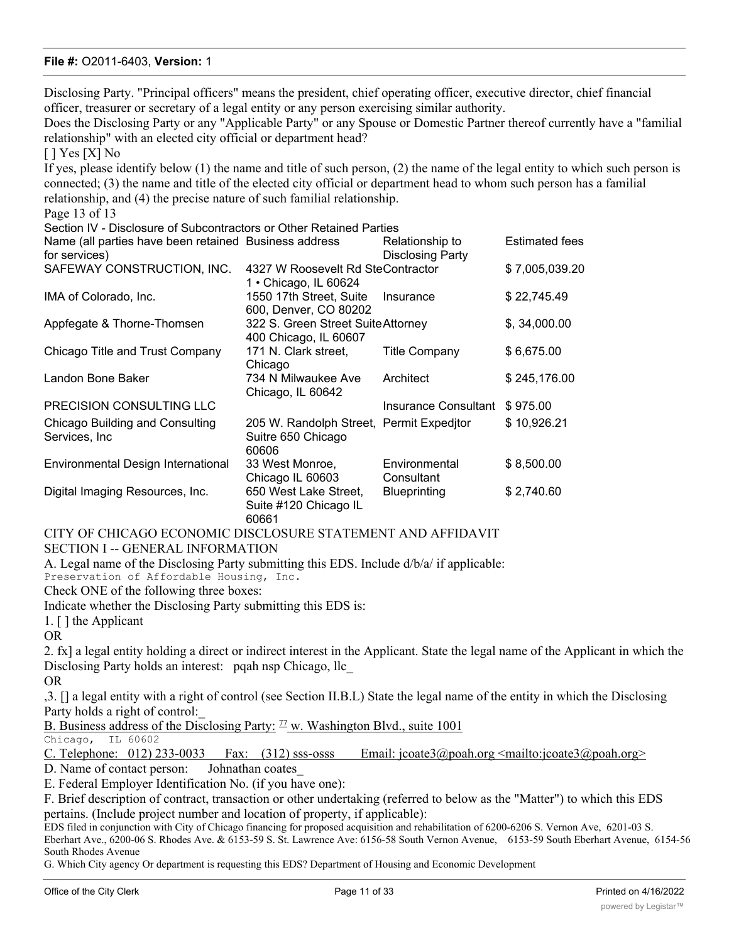Disclosing Party. "Principal officers" means the president, chief operating officer, executive director, chief financial officer, treasurer or secretary of a legal entity or any person exercising similar authority.

Does the Disclosing Party or any "Applicable Party" or any Spouse or Domestic Partner thereof currently have a "familial relationship" with an elected city official or department head?

 $[$  ] Yes  $[X]$  No

If yes, please identify below (1) the name and title of such person, (2) the name of the legal entity to which such person is connected; (3) the name and title of the elected city official or department head to whom such person has a familial relationship, and (4) the precise nature of such familial relationship.

Page 13 of 13

| Section IV - Disclosure of Subcontractors or Other Retained Parties |                                                                         |                                   |                       |
|---------------------------------------------------------------------|-------------------------------------------------------------------------|-----------------------------------|-----------------------|
| Name (all parties have been retained Business address               |                                                                         | Relationship to                   | <b>Estimated fees</b> |
| for services)                                                       |                                                                         | <b>Disclosing Party</b>           |                       |
| SAFEWAY CONSTRUCTION, INC.                                          | 1 • Chicago, IL 60624                                                   | 4327 W Roosevelt Rd SteContractor |                       |
| IMA of Colorado, Inc.                                               | 1550 17th Street, Suite Insurance<br>600, Denver, CO 80202              |                                   | \$22,745.49           |
| Appfegate & Thorne-Thomsen                                          | 322 S. Green Street Suite Attorney<br>400 Chicago, IL 60607             |                                   | \$, 34,000.00         |
| Chicago Title and Trust Company                                     | 171 N. Clark street,<br>Chicago                                         | <b>Title Company</b>              | \$6,675.00            |
| Landon Bone Baker                                                   | 734 N Milwaukee Ave<br>Chicago, IL 60642                                | Architect                         | \$245,176.00          |
| <b>PRECISION CONSULTING LLC</b>                                     |                                                                         | Insurance Consultant              | \$975.00              |
| Chicago Building and Consulting<br>Services, Inc.                   | 205 W. Randolph Street, Permit Expeditor<br>Suitre 650 Chicago<br>60606 |                                   | \$10,926.21           |
| Environmental Design International                                  | 33 West Monroe,<br>Chicago IL 60603                                     | Environmental<br>Consultant       | \$8,500.00            |
| Digital Imaging Resources, Inc.                                     | 650 West Lake Street,<br>Suite #120 Chicago IL<br>60661                 | <b>Blueprinting</b>               | \$2,740.60            |

CITY OF CHICAGO ECONOMIC DISCLOSURE STATEMENT AND AFFIDAVIT SECTION I -- GENERAL INFORMATION

A. Legal name of the Disclosing Party submitting this EDS. Include d/b/a/ if applicable:

Preservation of Affordable Housing, Inc.

Check ONE of the following three boxes:

Indicate whether the Disclosing Party submitting this EDS is:

1. [ ] the Applicant

OR

2. fx] a legal entity holding a direct or indirect interest in the Applicant. State the legal name of the Applicant in which the Disclosing Party holds an interest: pqah nsp Chicago, llc

OR

,3. [] a legal entity with a right of control (see Section II.B.L) State the legal name of the entity in which the Disclosing Party holds a right of control:\_

B. Business address of the Disclosing Party:  $\mathbb{Z}$  w. Washington Blvd., suite 1001

Chicago, IL 60602

| C. Telephone: $012$ ) 233-0033 Fax: $(312)$ sss-osss |  |  |  | Email: jcoate3@poah.org <mailto:jcoate3@poah.org></mailto:jcoate3@poah.org> |  |  |
|------------------------------------------------------|--|--|--|-----------------------------------------------------------------------------|--|--|
|                                                      |  |  |  |                                                                             |  |  |

D. Name of contact person: Johnathan coates

E. Federal Employer Identification No. (if you have one):

F. Brief description of contract, transaction or other undertaking (referred to below as the "Matter") to which this EDS pertains. (Include project number and location of property, if applicable):

EDS filed in conjunction with City of Chicago financing for proposed acquisition and rehabilitation of 6200-6206 S. Vernon Ave, 6201-03 S. Eberhart Ave., 6200-06 S. Rhodes Ave. & 6153-59 S. St. Lawrence Ave: 6156-58 South Vernon Avenue, 6153-59 South Eberhart Avenue, 6154-56 South Rhodes Avenue

G. Which City agency Or department is requesting this EDS? Department of Housing and Economic Development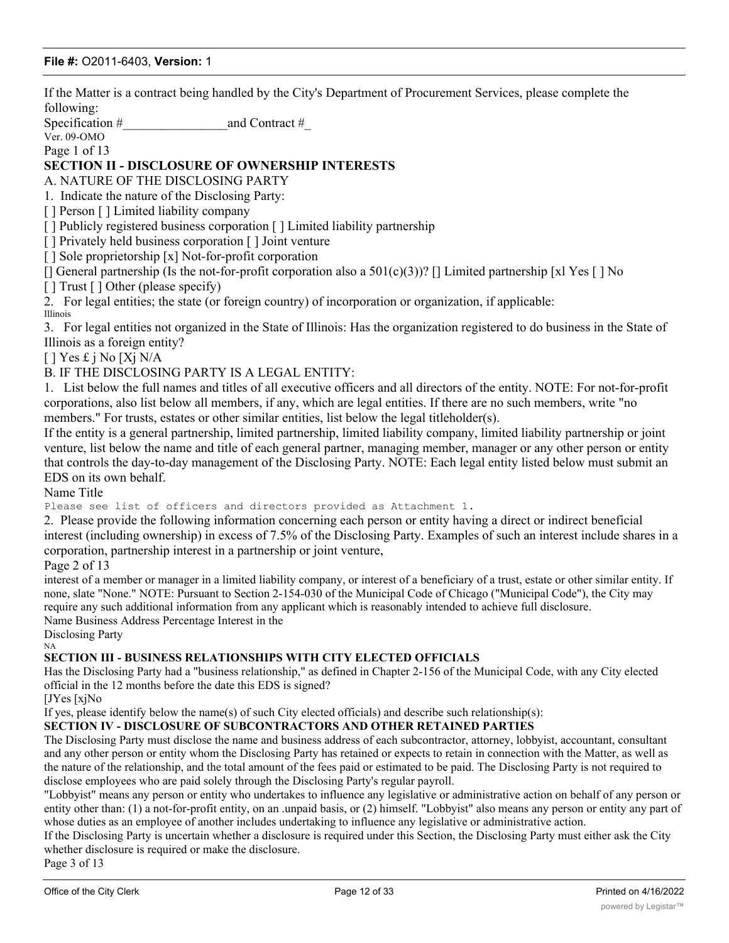If the Matter is a contract being handled by the City's Department of Procurement Services, please complete the following:

Specification #  $\qquad \qquad \text{and Contract}$  #

Ver. 09-OMO Page 1 of 13

## **SECTION II - DISCLOSURE OF OWNERSHIP INTERESTS**

A. NATURE OF THE DISCLOSING PARTY

1. Indicate the nature of the Disclosing Party:

[ ] Person [ ] Limited liability company

[ ] Publicly registered business corporation [ ] Limited liability partnership

[ ] Privately held business corporation [ ] Joint venture

[] Sole proprietorship [x] Not-for-profit corporation

 $\lceil$  General partnership (Is the not-for-profit corporation also a 501(c)(3))?  $\lceil$  Limited partnership  $\lceil x \rceil$  Yes  $\lceil \cdot \rceil$  No

[ ] Trust [ ] Other (please specify)

2. For legal entities; the state (or foreign country) of incorporation or organization, if applicable: Illinois

3. For legal entities not organized in the State of Illinois: Has the organization registered to do business in the State of Illinois as a foreign entity?

 $[ ]$  Yes £ j No [Xj N/A

B. IF THE DISCLOSING PARTY IS A LEGAL ENTITY:

1. List below the full names and titles of all executive officers and all directors of the entity. NOTE: For not-for-profit corporations, also list below all members, if any, which are legal entities. If there are no such members, write "no members." For trusts, estates or other similar entities, list below the legal titleholder(s).

If the entity is a general partnership, limited partnership, limited liability company, limited liability partnership or joint venture, list below the name and title of each general partner, managing member, manager or any other person or entity that controls the day-to-day management of the Disclosing Party. NOTE: Each legal entity listed below must submit an EDS on its own behalf.

Name Title

Please see list of officers and directors provided as Attachment 1.

2. Please provide the following information concerning each person or entity having a direct or indirect beneficial interest (including ownership) in excess of 7.5% of the Disclosing Party. Examples of such an interest include shares in a corporation, partnership interest in a partnership or joint venture,

#### Page 2 of 13

interest of a member or manager in a limited liability company, or interest of a beneficiary of a trust, estate or other similar entity. If none, slate "None." NOTE: Pursuant to Section 2-154-030 of the Municipal Code of Chicago ("Municipal Code"), the City may require any such additional information from any applicant which is reasonably intended to achieve full disclosure.

Name Business Address Percentage Interest in the

Disclosing Party NA

#### **SECTION III - BUSINESS RELATIONSHIPS WITH CITY ELECTED OFFICIALS**

Has the Disclosing Party had a "business relationship," as defined in Chapter 2-156 of the Municipal Code, with any City elected official in the 12 months before the date this EDS is signed?

[JYes [xjNo

If yes, please identify below the name(s) of such City elected officials) and describe such relationship(s):

#### **SECTION IV - DISCLOSURE OF SUBCONTRACTORS AND OTHER RETAINED PARTIES**

The Disclosing Party must disclose the name and business address of each subcontractor, attorney, lobbyist, accountant, consultant and any other person or entity whom the Disclosing Party has retained or expects to retain in connection with the Matter, as well as the nature of the relationship, and the total amount of the fees paid or estimated to be paid. The Disclosing Party is not required to disclose employees who are paid solely through the Disclosing Party's regular payroll.

"Lobbyist" means any person or entity who undertakes to influence any legislative or administrative action on behalf of any person or entity other than: (1) a not-for-profit entity, on an .unpaid basis, or (2) himself. "Lobbyist" also means any person or entity any part of whose duties as an employee of another includes undertaking to influence any legislative or administrative action.

If the Disclosing Party is uncertain whether a disclosure is required under this Section, the Disclosing Party must either ask the City whether disclosure is required or make the disclosure.

Page 3 of 13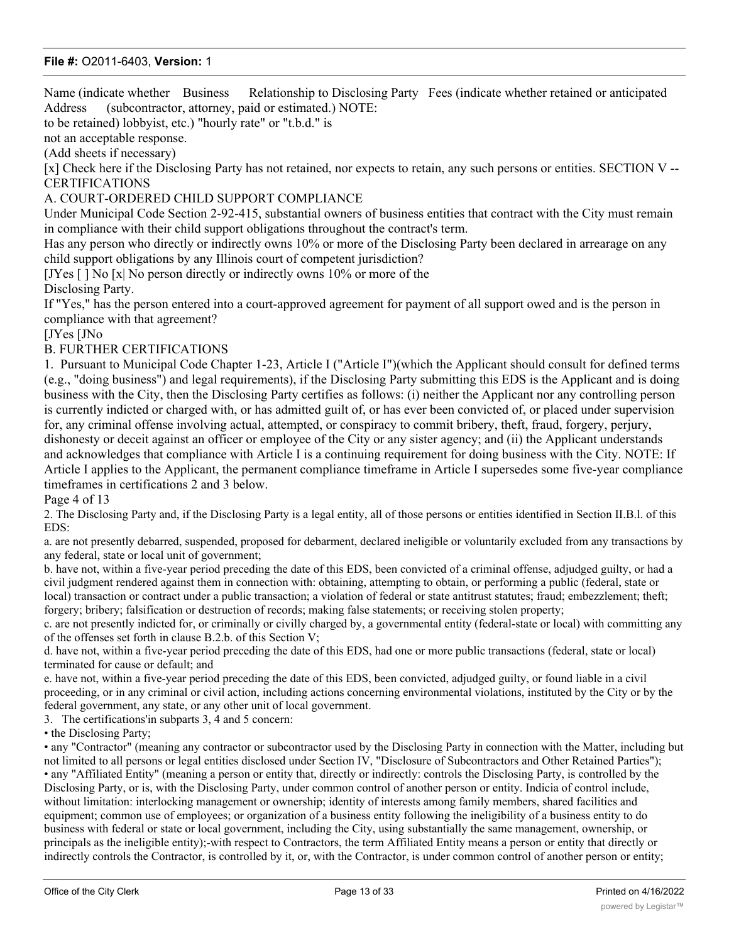Name (indicate whether Business Relationship to Disclosing Party Fees (indicate whether retained or anticipated Address (subcontractor, attorney, paid or estimated.) NOTE:

to be retained) lobbyist, etc.) "hourly rate" or "t.b.d." is

not an acceptable response.

(Add sheets if necessary)

[x] Check here if the Disclosing Party has not retained, nor expects to retain, any such persons or entities. SECTION V -- **CERTIFICATIONS** 

#### A. COURT-ORDERED CHILD SUPPORT COMPLIANCE

Under Municipal Code Section 2-92-415, substantial owners of business entities that contract with the City must remain in compliance with their child support obligations throughout the contract's term.

Has any person who directly or indirectly owns 10% or more of the Disclosing Party been declared in arrearage on any child support obligations by any Illinois court of competent jurisdiction?

[JYes [ ] No [x| No person directly or indirectly owns 10% or more of the Disclosing Party.

If "Yes," has the person entered into a court-approved agreement for payment of all support owed and is the person in compliance with that agreement?

[JYes [JNo

## B. FURTHER CERTIFICATIONS

1. Pursuant to Municipal Code Chapter 1-23, Article I ("Article I")(which the Applicant should consult for defined terms (e.g., "doing business") and legal requirements), if the Disclosing Party submitting this EDS is the Applicant and is doing business with the City, then the Disclosing Party certifies as follows: (i) neither the Applicant nor any controlling person is currently indicted or charged with, or has admitted guilt of, or has ever been convicted of, or placed under supervision for, any criminal offense involving actual, attempted, or conspiracy to commit bribery, theft, fraud, forgery, perjury, dishonesty or deceit against an officer or employee of the City or any sister agency; and (ii) the Applicant understands and acknowledges that compliance with Article I is a continuing requirement for doing business with the City. NOTE: If Article I applies to the Applicant, the permanent compliance timeframe in Article I supersedes some five-year compliance timeframes in certifications 2 and 3 below.

Page 4 of 13

2. The Disclosing Party and, if the Disclosing Party is a legal entity, all of those persons or entities identified in Section II.B.l. of this EDS:

a. are not presently debarred, suspended, proposed for debarment, declared ineligible or voluntarily excluded from any transactions by any federal, state or local unit of government;

b. have not, within a five-year period preceding the date of this EDS, been convicted of a criminal offense, adjudged guilty, or had a civil judgment rendered against them in connection with: obtaining, attempting to obtain, or performing a public (federal, state or local) transaction or contract under a public transaction; a violation of federal or state antitrust statutes; fraud; embezzlement; theft; forgery; bribery; falsification or destruction of records; making false statements; or receiving stolen property;

c. are not presently indicted for, or criminally or civilly charged by, a governmental entity (federal-state or local) with committing any of the offenses set forth in clause B.2.b. of this Section V;

d. have not, within a five-year period preceding the date of this EDS, had one or more public transactions (federal, state or local) terminated for cause or default; and

e. have not, within a five-year period preceding the date of this EDS, been convicted, adjudged guilty, or found liable in a civil proceeding, or in any criminal or civil action, including actions concerning environmental violations, instituted by the City or by the federal government, any state, or any other unit of local government.

3. The certifications'in subparts 3, 4 and 5 concern:

• the Disclosing Party;

• any "Contractor" (meaning any contractor or subcontractor used by the Disclosing Party in connection with the Matter, including but not limited to all persons or legal entities disclosed under Section IV, "Disclosure of Subcontractors and Other Retained Parties"); • any "Affiliated Entity" (meaning a person or entity that, directly or indirectly: controls the Disclosing Party, is controlled by the Disclosing Party, or is, with the Disclosing Party, under common control of another person or entity. Indicia of control include, without limitation: interlocking management or ownership; identity of interests among family members, shared facilities and equipment; common use of employees; or organization of a business entity following the ineligibility of a business entity to do business with federal or state or local government, including the City, using substantially the same management, ownership, or principals as the ineligible entity);-with respect to Contractors, the term Affiliated Entity means a person or entity that directly or indirectly controls the Contractor, is controlled by it, or, with the Contractor, is under common control of another person or entity;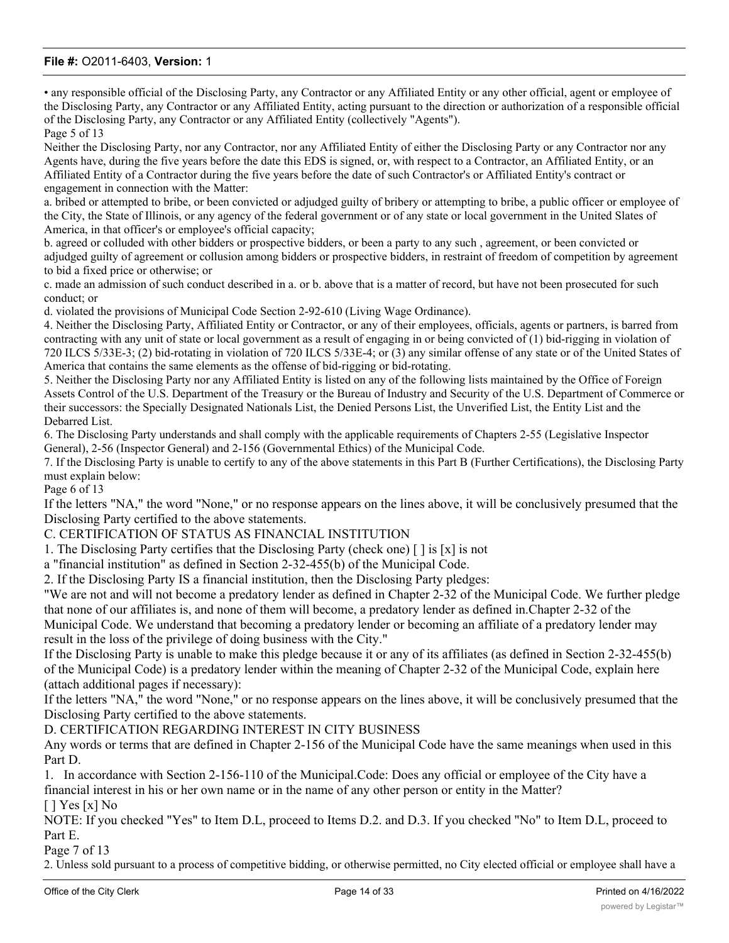• any responsible official of the Disclosing Party, any Contractor or any Affiliated Entity or any other official, agent or employee of the Disclosing Party, any Contractor or any Affiliated Entity, acting pursuant to the direction or authorization of a responsible official of the Disclosing Party, any Contractor or any Affiliated Entity (collectively "Agents"). Page 5 of 13

Neither the Disclosing Party, nor any Contractor, nor any Affiliated Entity of either the Disclosing Party or any Contractor nor any Agents have, during the five years before the date this EDS is signed, or, with respect to a Contractor, an Affiliated Entity, or an Affiliated Entity of a Contractor during the five years before the date of such Contractor's or Affiliated Entity's contract or engagement in connection with the Matter:

a. bribed or attempted to bribe, or been convicted or adjudged guilty of bribery or attempting to bribe, a public officer or employee of the City, the State of Illinois, or any agency of the federal government or of any state or local government in the United Slates of America, in that officer's or employee's official capacity;

b. agreed or colluded with other bidders or prospective bidders, or been a party to any such , agreement, or been convicted or adjudged guilty of agreement or collusion among bidders or prospective bidders, in restraint of freedom of competition by agreement to bid a fixed price or otherwise; or

c. made an admission of such conduct described in a. or b. above that is a matter of record, but have not been prosecuted for such conduct; or

d. violated the provisions of Municipal Code Section 2-92-610 (Living Wage Ordinance).

4. Neither the Disclosing Party, Affiliated Entity or Contractor, or any of their employees, officials, agents or partners, is barred from contracting with any unit of state or local government as a result of engaging in or being convicted of (1) bid-rigging in violation of 720 ILCS 5/33E-3; (2) bid-rotating in violation of 720 ILCS 5/33E-4; or (3) any similar offense of any state or of the United States of America that contains the same elements as the offense of bid-rigging or bid-rotating.

5. Neither the Disclosing Party nor any Affiliated Entity is listed on any of the following lists maintained by the Office of Foreign Assets Control of the U.S. Department of the Treasury or the Bureau of Industry and Security of the U.S. Department of Commerce or their successors: the Specially Designated Nationals List, the Denied Persons List, the Unverified List, the Entity List and the Debarred List.

6. The Disclosing Party understands and shall comply with the applicable requirements of Chapters 2-55 (Legislative Inspector General), 2-56 (Inspector General) and 2-156 (Governmental Ethics) of the Municipal Code.

7. If the Disclosing Party is unable to certify to any of the above statements in this Part B (Further Certifications), the Disclosing Party must explain below:

Page 6 of 13

If the letters "NA," the word "None," or no response appears on the lines above, it will be conclusively presumed that the Disclosing Party certified to the above statements.

C. CERTIFICATION OF STATUS AS FINANCIAL INSTITUTION

1. The Disclosing Party certifies that the Disclosing Party (check one) [ ] is [x] is not

a "financial institution" as defined in Section 2-32-455(b) of the Municipal Code.

2. If the Disclosing Party IS a financial institution, then the Disclosing Party pledges:

"We are not and will not become a predatory lender as defined in Chapter 2-32 of the Municipal Code. We further pledge that none of our affiliates is, and none of them will become, a predatory lender as defined in.Chapter 2-32 of the

Municipal Code. We understand that becoming a predatory lender or becoming an affiliate of a predatory lender may result in the loss of the privilege of doing business with the City."

If the Disclosing Party is unable to make this pledge because it or any of its affiliates (as defined in Section 2-32-455(b) of the Municipal Code) is a predatory lender within the meaning of Chapter 2-32 of the Municipal Code, explain here (attach additional pages if necessary):

If the letters "NA," the word "None," or no response appears on the lines above, it will be conclusively presumed that the Disclosing Party certified to the above statements.

#### D. CERTIFICATION REGARDING INTEREST IN CITY BUSINESS

Any words or terms that are defined in Chapter 2-156 of the Municipal Code have the same meanings when used in this Part D.

1. In accordance with Section 2-156-110 of the Municipal.Code: Does any official or employee of the City have a financial interest in his or her own name or in the name of any other person or entity in the Matter? [ ] Yes [x] No

NOTE: If you checked "Yes" to Item D.L, proceed to Items D.2. and D.3. If you checked "No" to Item D.L, proceed to Part E.

Page 7 of 13

2. Unless sold pursuant to a process of competitive bidding, or otherwise permitted, no City elected official or employee shall have a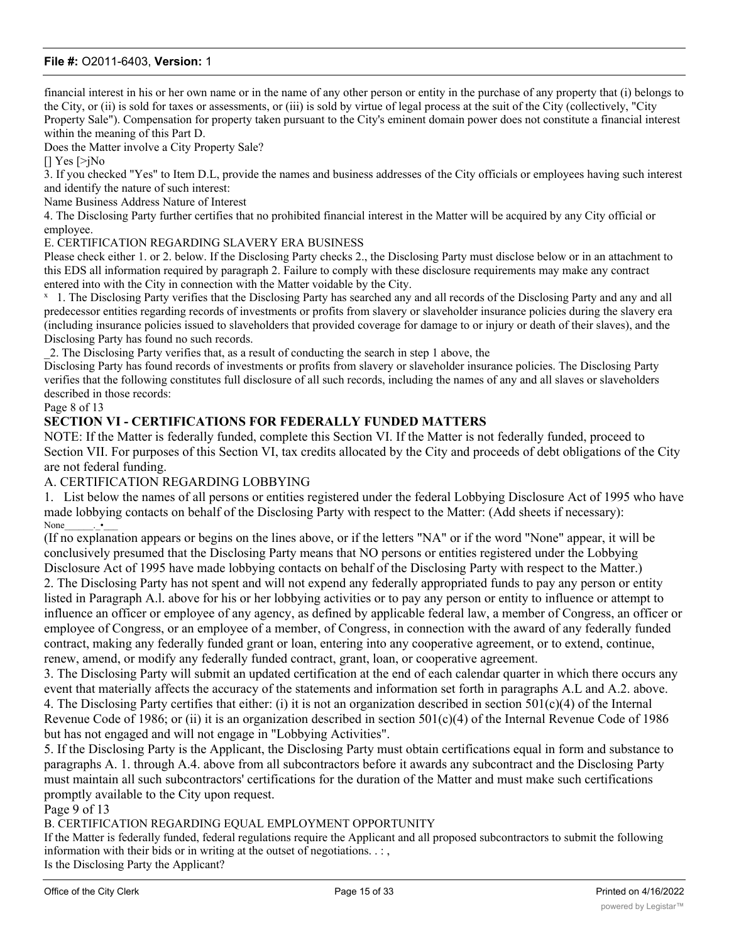financial interest in his or her own name or in the name of any other person or entity in the purchase of any property that (i) belongs to the City, or (ii) is sold for taxes or assessments, or (iii) is sold by virtue of legal process at the suit of the City (collectively, "City Property Sale"). Compensation for property taken pursuant to the City's eminent domain power does not constitute a financial interest

within the meaning of this Part D.

Does the Matter involve a City Property Sale?

[] Yes [>jNo

3. If you checked "Yes" to Item D.L, provide the names and business addresses of the City officials or employees having such interest and identify the nature of such interest:

Name Business Address Nature of Interest

4. The Disclosing Party further certifies that no prohibited financial interest in the Matter will be acquired by any City official or employee.

#### E. CERTIFICATION REGARDING SLAVERY ERA BUSINESS

Please check either 1. or 2. below. If the Disclosing Party checks 2., the Disclosing Party must disclose below or in an attachment to this EDS all information required by paragraph 2. Failure to comply with these disclosure requirements may make any contract entered into with the City in connection with the Matter voidable by the City.

<sup>x</sup> 1. The Disclosing Party verifies that the Disclosing Party has searched any and all records of the Disclosing Party and any and all predecessor entities regarding records of investments or profits from slavery or slaveholder insurance policies during the slavery era (including insurance policies issued to slaveholders that provided coverage for damage to or injury or death of their slaves), and the Disclosing Party has found no such records.

\_2. The Disclosing Party verifies that, as a result of conducting the search in step 1 above, the

Disclosing Party has found records of investments or profits from slavery or slaveholder insurance policies. The Disclosing Party verifies that the following constitutes full disclosure of all such records, including the names of any and all slaves or slaveholders described in those records:

Page 8 of 13

## **SECTION VI - CERTIFICATIONS FOR FEDERALLY FUNDED MATTERS**

NOTE: If the Matter is federally funded, complete this Section VI. If the Matter is not federally funded, proceed to Section VII. For purposes of this Section VI, tax credits allocated by the City and proceeds of debt obligations of the City are not federal funding.

#### A. CERTIFICATION REGARDING LOBBYING

1. List below the names of all persons or entities registered under the federal Lobbying Disclosure Act of 1995 who have made lobbying contacts on behalf of the Disclosing Party with respect to the Matter: (Add sheets if necessary): None\_\_\_\_\_\_.\_•\_\_\_

(If no explanation appears or begins on the lines above, or if the letters "NA" or if the word "None" appear, it will be conclusively presumed that the Disclosing Party means that NO persons or entities registered under the Lobbying Disclosure Act of 1995 have made lobbying contacts on behalf of the Disclosing Party with respect to the Matter.) 2. The Disclosing Party has not spent and will not expend any federally appropriated funds to pay any person or entity listed in Paragraph A.l. above for his or her lobbying activities or to pay any person or entity to influence or attempt to influence an officer or employee of any agency, as defined by applicable federal law, a member of Congress, an officer or employee of Congress, or an employee of a member, of Congress, in connection with the award of any federally funded

contract, making any federally funded grant or loan, entering into any cooperative agreement, or to extend, continue, renew, amend, or modify any federally funded contract, grant, loan, or cooperative agreement.

3. The Disclosing Party will submit an updated certification at the end of each calendar quarter in which there occurs any event that materially affects the accuracy of the statements and information set forth in paragraphs A.L and A.2. above. 4. The Disclosing Party certifies that either: (i) it is not an organization described in section  $501(c)(4)$  of the Internal Revenue Code of 1986; or (ii) it is an organization described in section  $501(c)(4)$  of the Internal Revenue Code of 1986 but has not engaged and will not engage in "Lobbying Activities".

5. If the Disclosing Party is the Applicant, the Disclosing Party must obtain certifications equal in form and substance to paragraphs A. 1. through A.4. above from all subcontractors before it awards any subcontract and the Disclosing Party must maintain all such subcontractors' certifications for the duration of the Matter and must make such certifications promptly available to the City upon request.

Page 9 of 13

B. CERTIFICATION REGARDING EQUAL EMPLOYMENT OPPORTUNITY

If the Matter is federally funded, federal regulations require the Applicant and all proposed subcontractors to submit the following information with their bids or in writing at the outset of negotiations. . : ,

Is the Disclosing Party the Applicant? 1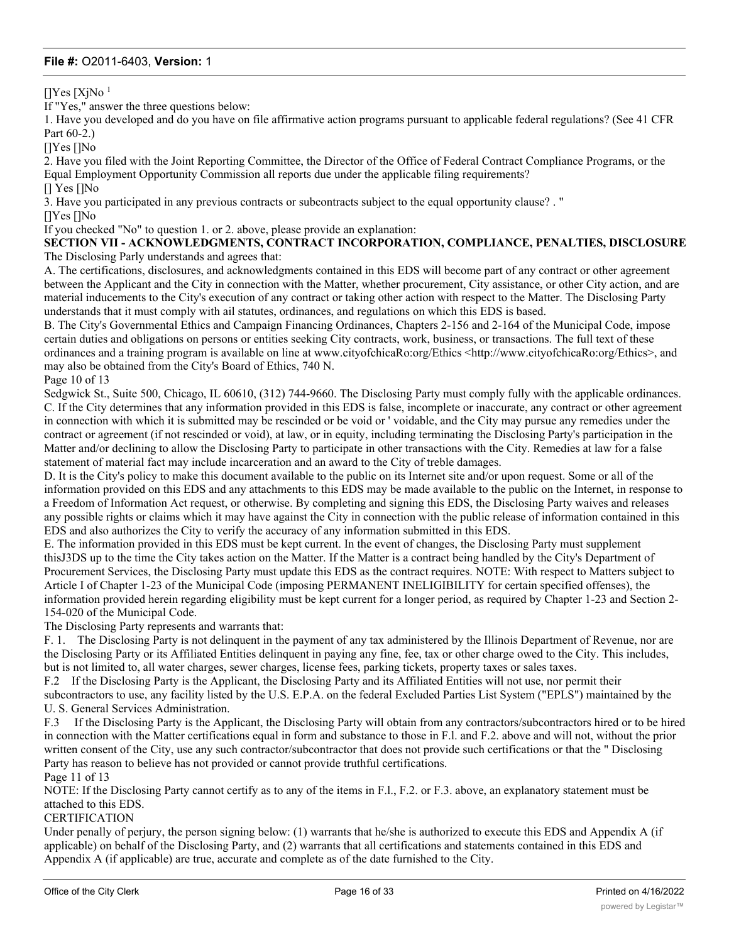$[]Yes [XiNo]$ <sup>1</sup>

If "Yes," answer the three questions below:

1. Have you developed and do you have on file affirmative action programs pursuant to applicable federal regulations? (See 41 CFR Part 60-2.)

[]Yes []No

2. Have you filed with the Joint Reporting Committee, the Director of the Office of Federal Contract Compliance Programs, or the Equal Employment Opportunity Commission all reports due under the applicable filing requirements?

[] Yes []No

3. Have you participated in any previous contracts or subcontracts subject to the equal opportunity clause? . "

[]Yes []No

If you checked "No" to question 1. or 2. above, please provide an explanation:

**SECTION VII - ACKNOWLEDGMENTS, CONTRACT INCORPORATION, COMPLIANCE, PENALTIES, DISCLOSURE** The Disclosing Parly understands and agrees that:

A. The certifications, disclosures, and acknowledgments contained in this EDS will become part of any contract or other agreement between the Applicant and the City in connection with the Matter, whether procurement, City assistance, or other City action, and are material inducements to the City's execution of any contract or taking other action with respect to the Matter. The Disclosing Party understands that it must comply with ail statutes, ordinances, and regulations on which this EDS is based.

B. The City's Governmental Ethics and Campaign Financing Ordinances, Chapters 2-156 and 2-164 of the Municipal Code, impose certain duties and obligations on persons or entities seeking City contracts, work, business, or transactions. The full text of these ordinances and a training program is available on line at www.cityofchicaRo:org/Ethics <http://www.cityofchicaRo:org/Ethics>, and may also be obtained from the City's Board of Ethics, 740 N.

Page 10 of 13

Sedgwick St., Suite 500, Chicago, IL 60610, (312) 744-9660. The Disclosing Party must comply fully with the applicable ordinances. C. If the City determines that any information provided in this EDS is false, incomplete or inaccurate, any contract or other agreement in connection with which it is submitted may be rescinded or be void or ' voidable, and the City may pursue any remedies under the contract or agreement (if not rescinded or void), at law, or in equity, including terminating the Disclosing Party's participation in the Matter and/or declining to allow the Disclosing Party to participate in other transactions with the City. Remedies at law for a false statement of material fact may include incarceration and an award to the City of treble damages.

D. It is the City's policy to make this document available to the public on its Internet site and/or upon request. Some or all of the information provided on this EDS and any attachments to this EDS may be made available to the public on the Internet, in response to a Freedom of Information Act request, or otherwise. By completing and signing this EDS, the Disclosing Party waives and releases any possible rights or claims which it may have against the City in connection with the public release of information contained in this EDS and also authorizes the City to verify the accuracy of any information submitted in this EDS.

E. The information provided in this EDS must be kept current. In the event of changes, the Disclosing Party must supplement thisJ3DS up to the time the City takes action on the Matter. If the Matter is a contract being handled by the City's Department of Procurement Services, the Disclosing Party must update this EDS as the contract requires. NOTE: With respect to Matters subject to Article I of Chapter 1-23 of the Municipal Code (imposing PERMANENT INELIGIBILITY for certain specified offenses), the information provided herein regarding eligibility must be kept current for a longer period, as required by Chapter 1-23 and Section 2- 154-020 of the Municipal Code.

The Disclosing Party represents and warrants that:

F. 1. The Disclosing Party is not delinquent in the payment of any tax administered by the Illinois Department of Revenue, nor are the Disclosing Party or its Affiliated Entities delinquent in paying any fine, fee, tax or other charge owed to the City. This includes, but is not limited to, all water charges, sewer charges, license fees, parking tickets, property taxes or sales taxes.

F.2 If the Disclosing Party is the Applicant, the Disclosing Party and its Affiliated Entities will not use, nor permit their subcontractors to use, any facility listed by the U.S. E.P.A. on the federal Excluded Parties List System ("EPLS") maintained by the U. S. General Services Administration.

F.3 If the Disclosing Party is the Applicant, the Disclosing Party will obtain from any contractors/subcontractors hired or to be hired in connection with the Matter certifications equal in form and substance to those in F.l. and F.2. above and will not, without the prior written consent of the City, use any such contractor/subcontractor that does not provide such certifications or that the " Disclosing Party has reason to believe has not provided or cannot provide truthful certifications.

Page 11 of 13

NOTE: If the Disclosing Party cannot certify as to any of the items in F.l., F.2. or F.3. above, an explanatory statement must be attached to this EDS.

#### CERTIFICATION

Under penally of perjury, the person signing below: (1) warrants that he/she is authorized to execute this EDS and Appendix A (if applicable) on behalf of the Disclosing Party, and (2) warrants that all certifications and statements contained in this EDS and Appendix A (if applicable) are true, accurate and complete as of the date furnished to the City.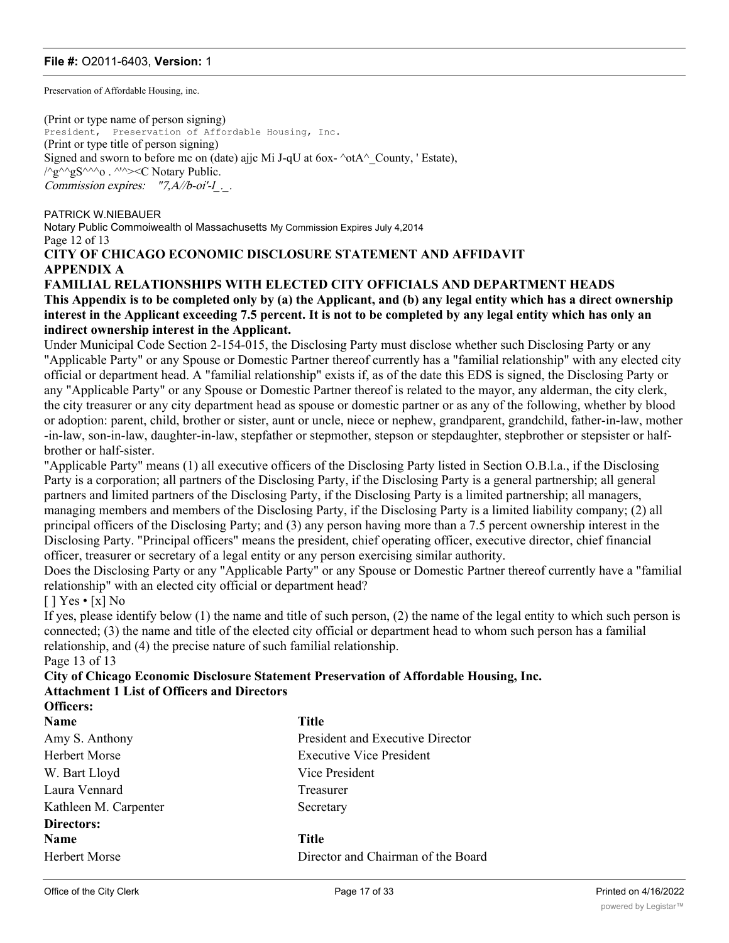Preservation of Affordable Housing, inc.

(Print or type name of person signing) President, Preservation of Affordable Housing, Inc. (Print or type title of person signing) Signed and sworn to before mc on (date) ajjc Mi J-qU at 6ox- $\triangle$ otA $\triangle$  County, ' Estate),  $\sqrt{\gamma}$ g $\sim$  $\gamma$ g $S^{\wedge\wedge\wedge}$ o .  $\wedge\vee\wedge\vee\vee$  Notary Public. Commission expires:  $"7, A/b$ -oi'-l..

PATRICK W.NIEBAUER Notary Public Commoiwealth ol Massachusetts My Commission Expires July 4,2014 Page 12 of 13

## **CITY OF CHICAGO ECONOMIC DISCLOSURE STATEMENT AND AFFIDAVIT APPENDIX A**

## **FAMILIAL RELATIONSHIPS WITH ELECTED CITY OFFICIALS AND DEPARTMENT HEADS This Appendix is to be completed only by (a) the Applicant, and (b) any legal entity which has a direct ownership interest in the Applicant exceeding 7.5 percent. It is not to be completed by any legal entity which has only an indirect ownership interest in the Applicant.**

Under Municipal Code Section 2-154-015, the Disclosing Party must disclose whether such Disclosing Party or any "Applicable Party" or any Spouse or Domestic Partner thereof currently has a "familial relationship" with any elected city official or department head. A "familial relationship" exists if, as of the date this EDS is signed, the Disclosing Party or any "Applicable Party" or any Spouse or Domestic Partner thereof is related to the mayor, any alderman, the city clerk, the city treasurer or any city department head as spouse or domestic partner or as any of the following, whether by blood or adoption: parent, child, brother or sister, aunt or uncle, niece or nephew, grandparent, grandchild, father-in-law, mother -in-law, son-in-law, daughter-in-law, stepfather or stepmother, stepson or stepdaughter, stepbrother or stepsister or halfbrother or half-sister.

"Applicable Party" means (1) all executive officers of the Disclosing Party listed in Section O.B.l.a., if the Disclosing Party is a corporation; all partners of the Disclosing Party, if the Disclosing Party is a general partnership; all general partners and limited partners of the Disclosing Party, if the Disclosing Party is a limited partnership; all managers, managing members and members of the Disclosing Party, if the Disclosing Party is a limited liability company; (2) all principal officers of the Disclosing Party; and (3) any person having more than a 7.5 percent ownership interest in the Disclosing Party. "Principal officers" means the president, chief operating officer, executive director, chief financial officer, treasurer or secretary of a legal entity or any person exercising similar authority.

Does the Disclosing Party or any "Applicable Party" or any Spouse or Domestic Partner thereof currently have a "familial relationship" with an elected city official or department head?

## $[$  | Yes • [x] No

If yes, please identify below (1) the name and title of such person, (2) the name of the legal entity to which such person is connected; (3) the name and title of the elected city official or department head to whom such person has a familial relationship, and (4) the precise nature of such familial relationship.

# Page 13 of 13

#### **City of Chicago Economic Disclosure Statement Preservation of Affordable Housing, Inc. Attachment 1 List of Officers and Directors Officers:**

| <b>Name</b>           | Title        |
|-----------------------|--------------|
| Amy S. Anthony        | Presi        |
| Herbert Morse         | Exec         |
| W. Bart Lloyd         | Vice         |
| Laura Vennard         | Treas        |
| Kathleen M. Carpenter | Secre        |
| Directors:            |              |
| <b>Name</b>           | <b>Title</b> |
| <b>Herbert Morse</b>  | Direo        |

President and Executive Director **Executive Vice President** Vice President Treasurer ter Secretary

Director and Chairman of the Board

George Latimer Director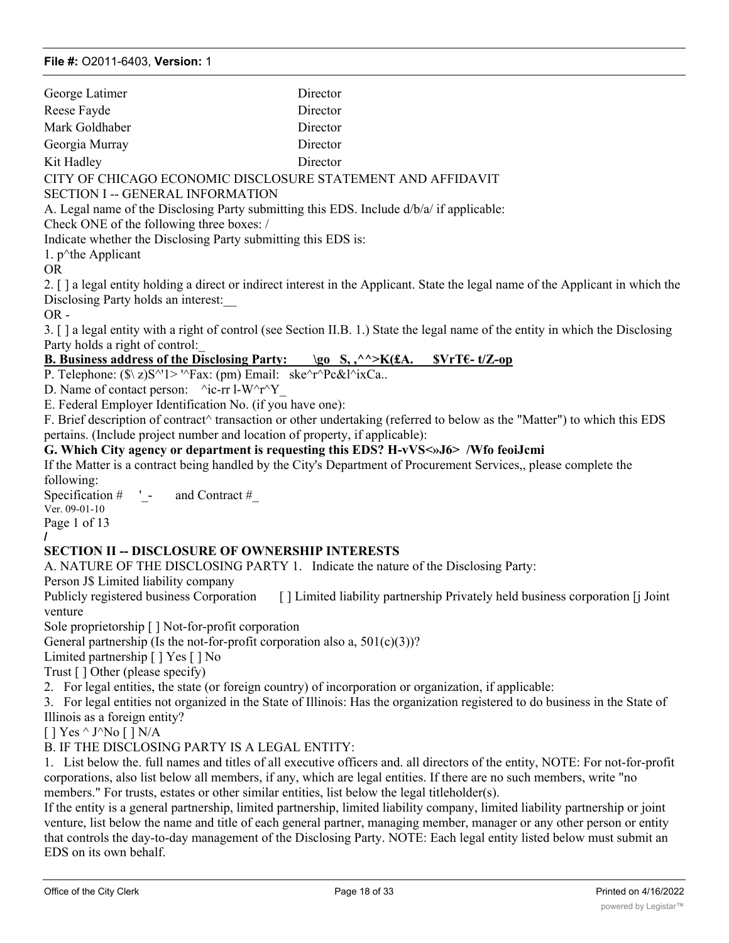| George Latimer | Director                                                    |
|----------------|-------------------------------------------------------------|
| Reese Fayde    | Director                                                    |
| Mark Goldhaber | Director                                                    |
| Georgia Murray | Director                                                    |
| Kit Hadley     | Director                                                    |
|                | CITY OF CHICAGO ECONOMIC DISCLOSURE STATEMENT AND AFFIDAVIT |

SECTION I -- GENERAL INFORMATION

A. Legal name of the Disclosing Party submitting this EDS. Include d/b/a/ if applicable:

Check ONE of the following three boxes: /

Indicate whether the Disclosing Party submitting this EDS is:

1.  $p^{\wedge}$ the Applicant

OR

2. [ ] a legal entity holding a direct or indirect interest in the Applicant. State the legal name of the Applicant in which the Disclosing Party holds an interest:\_\_

OR -

3. [ ] a legal entity with a right of control (see Section II.B. 1.) State the legal name of the entity in which the Disclosing Party holds a right of control:\_

## **B. Business address of the Disclosing Party:** \go S,,^^>K(£A. \$VrT€-t/Z-op

P. Telephone:  $(\frac{\hat{x}}{z})S^{\gamma}1>'\frac{\hat{x}}{x}$ : (pm) Email: ske $\frac{\hat{x}}{\hat{y}}S^{\gamma}R^{\gamma}$ c&l $\frac{\hat{x}}{x}Ca$ ..

D. Name of contact person:  $\text{``ic-rr l-W~'r~'Y}$ 

E. Federal Employer Identification No. (if you have one):

F. Brief description of contract^ transaction or other undertaking (referred to below as the "Matter") to which this EDS pertains. (Include project number and location of property, if applicable):

## **G. Which City agency or department is requesting this EDS? H-vVS<»J6> /Wfo feoiJcmi**

If the Matter is a contract being handled by the City's Department of Procurement Services,, please complete the following:

Specification  $\#$   $\blacksquare$  - and Contract  $\#$ 

Ver. 09-01-10 Page 1 of 13

**/**

## **SECTION II -- DISCLOSURE OF OWNERSHIP INTERESTS**

A. NATURE OF THE DISCLOSING PARTY 1. Indicate the nature of the Disclosing Party:

Person J\$ Limited liability company

Publicly registered business Corporation [ ] Limited liability partnership Privately held business corporation [j Joint] venture

Sole proprietorship [ ] Not-for-profit corporation

General partnership (Is the not-for-profit corporation also a,  $501(c)(3)$ )?

Limited partnership [ ] Yes [ ] No

Trust [ ] Other (please specify)

2. For legal entities, the state (or foreign country) of incorporation or organization, if applicable:

3. For legal entities not organized in the State of Illinois: Has the organization registered to do business in the State of Illinois as a foreign entity?

 $[$  ] Yes ^ J^No  $[$  ] N/A

B. IF THE DISCLOSING PARTY IS A LEGAL ENTITY:

1. List below the. full names and titles of all executive officers and. all directors of the entity, NOTE: For not-for-profit corporations, also list below all members, if any, which are legal entities. If there are no such members, write "no members." For trusts, estates or other similar entities, list below the legal titleholder(s).

If the entity is a general partnership, limited partnership, limited liability company, limited liability partnership or joint venture, list below the name and title of each general partner, managing member, manager or any other person or entity that controls the day-to-day management of the Disclosing Party. NOTE: Each legal entity listed below must submit an EDS on its own behalf.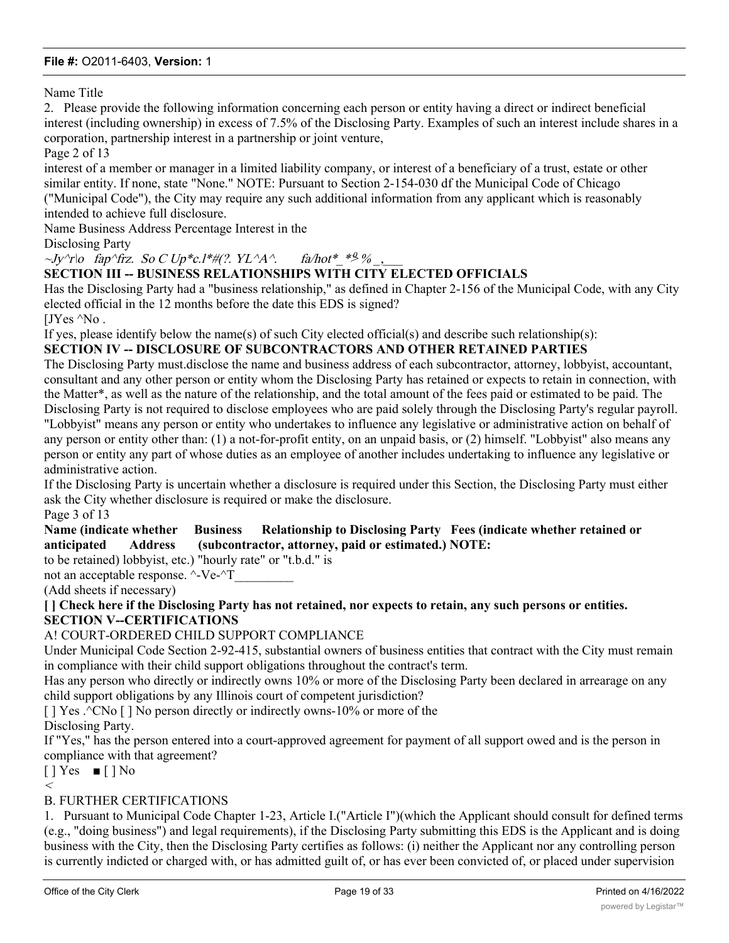Name Title

2. Please provide the following information concerning each person or entity having a direct or indirect beneficial interest (including ownership) in excess of 7.5% of the Disclosing Party. Examples of such an interest include shares in a corporation, partnership interest in a partnership or joint venture,

Page 2 of 13

interest of a member or manager in a limited liability company, or interest of a beneficiary of a trust, estate or other similar entity. If none, state "None." NOTE: Pursuant to Section 2-154-030 df the Municipal Code of Chicago ("Municipal Code"), the City may require any such additional information from any applicant which is reasonably intended to achieve full disclosure.

Name Business Address Percentage Interest in the

Disclosing Party

 $\sim$ Jy $\gamma$ r $\sigma$  fap $\gamma$ frz. So C Up\*c.l\*#(?. YL $\gamma$ A $\gamma$ . fa/hot\* \* $\frac{9}{\gamma}$  % .

## **SECTION III -- BUSINESS RELATIONSHIPS WITH CITY ELECTED OFFICIALS**

Has the Disclosing Party had a "business relationship," as defined in Chapter 2-156 of the Municipal Code, with any City elected official in the 12 months before the date this EDS is signed?

[JYes ^No .

If yes, please identify below the name(s) of such City elected official(s) and describe such relationship(s):

### **SECTION IV -- DISCLOSURE OF SUBCONTRACTORS AND OTHER RETAINED PARTIES**

The Disclosing Party must.disclose the name and business address of each subcontractor, attorney, lobbyist, accountant, consultant and any other person or entity whom the Disclosing Party has retained or expects to retain in connection, with the Matter\*, as well as the nature of the relationship, and the total amount of the fees paid or estimated to be paid. The Disclosing Party is not required to disclose employees who are paid solely through the Disclosing Party's regular payroll. "Lobbyist" means any person or entity who undertakes to influence any legislative or administrative action on behalf of any person or entity other than: (1) a not-for-profit entity, on an unpaid basis, or (2) himself. "Lobbyist" also means any person or entity any part of whose duties as an employee of another includes undertaking to influence any legislative or administrative action.

If the Disclosing Party is uncertain whether a disclosure is required under this Section, the Disclosing Party must either ask the City whether disclosure is required or make the disclosure. Page 3 of 13

#### **Name (indicate whether Business Relationship to Disclosing Party Fees (indicate whether retained or anticipated Address (subcontractor, attorney, paid or estimated.) NOTE:**

to be retained) lobbyist, etc.) "hourly rate" or "t.b.d." is

not an acceptable response.  $\lambda$ -Ve- $\lambda$ T

(Add sheets if necessary)

**[ ] Check here if the Disclosing Party has not retained, nor expects to retain, any such persons or entities. SECTION V--CERTIFICATIONS**

## A! COURT-ORDERED CHILD SUPPORT COMPLIANCE

Under Municipal Code Section 2-92-415, substantial owners of business entities that contract with the City must remain in compliance with their child support obligations throughout the contract's term.

Has any person who directly or indirectly owns 10% or more of the Disclosing Party been declared in arrearage on any child support obligations by any Illinois court of competent jurisdiction?

 $[$  | Yes .^CNo  $[$  | No person directly or indirectly owns-10% or more of the Disclosing Party.

If "Yes," has the person entered into a court-approved agreement for payment of all support owed and is the person in compliance with that agreement?

 $[$  | Yes  $\blacksquare$  | No  $\lt$ 

## B. FURTHER CERTIFICATIONS

1. Pursuant to Municipal Code Chapter 1-23, Article I.("Article I")(which the Applicant should consult for defined terms (e.g., "doing business") and legal requirements), if the Disclosing Party submitting this EDS is the Applicant and is doing business with the City, then the Disclosing Party certifies as follows: (i) neither the Applicant nor any controlling person is currently indicted or charged with, or has admitted guilt of, or has ever been convicted of, or placed under supervision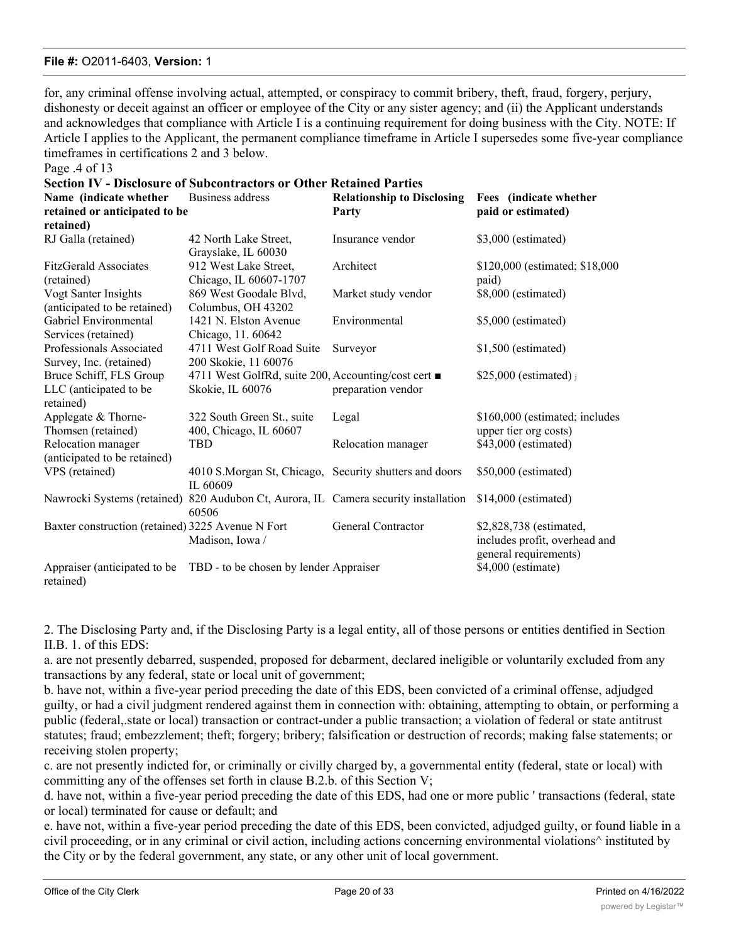for, any criminal offense involving actual, attempted, or conspiracy to commit bribery, theft, fraud, forgery, perjury, dishonesty or deceit against an officer or employee of the City or any sister agency; and (ii) the Applicant understands and acknowledges that compliance with Article I is a continuing requirement for doing business with the City. NOTE: If Article I applies to the Applicant, the permanent compliance timeframe in Article I supersedes some five-year compliance timeframes in certifications 2 and 3 below.

Page .4 of 13

| <b>Section IV - Disclosure of Subcontractors or Other Retained Parties</b> |                                                                    |                                   |                                                                                   |  |  |  |
|----------------------------------------------------------------------------|--------------------------------------------------------------------|-----------------------------------|-----------------------------------------------------------------------------------|--|--|--|
| Name (indicate whether                                                     | Business address                                                   | <b>Relationship to Disclosing</b> | Fees (indicate whether                                                            |  |  |  |
| retained or anticipated to be                                              |                                                                    | Party                             | paid or estimated)                                                                |  |  |  |
| retained)                                                                  |                                                                    |                                   |                                                                                   |  |  |  |
| RJ Galla (retained)                                                        | 42 North Lake Street,<br>Grayslake, IL 60030                       | Insurance vendor                  | \$3,000 (estimated)                                                               |  |  |  |
| <b>FitzGerald Associates</b>                                               | 912 West Lake Street,                                              | Architect                         | \$120,000 (estimated; \$18,000)                                                   |  |  |  |
| (retained)                                                                 | Chicago, IL 60607-1707                                             |                                   | paid)                                                                             |  |  |  |
| Vogt Santer Insights                                                       | 869 West Goodale Blvd,                                             | Market study vendor               | \$8,000 (estimated)                                                               |  |  |  |
| (anticipated to be retained)                                               | Columbus, OH 43202                                                 |                                   |                                                                                   |  |  |  |
| Gabriel Environmental                                                      | 1421 N. Elston Avenue                                              | Environmental                     | \$5,000 (estimated)                                                               |  |  |  |
| Services (retained)                                                        | Chicago, 11.60642                                                  |                                   |                                                                                   |  |  |  |
| Professionals Associated                                                   | 4711 West Golf Road Suite                                          | Surveyor                          | $$1,500$ (estimated)                                                              |  |  |  |
| Survey, Inc. (retained)                                                    | 200 Skokie, 11 60076                                               |                                   |                                                                                   |  |  |  |
| Bruce Schiff, FLS Group                                                    | 4711 West GolfRd, suite 200, Accounting/cost cert ■                |                                   | $$25,000$ (estimated) j                                                           |  |  |  |
| LLC (anticipated to be<br>retained)                                        | Skokie, IL 60076                                                   | preparation vendor                |                                                                                   |  |  |  |
| Applegate & Thorne-                                                        | 322 South Green St., suite                                         | Legal                             | \$160,000 (estimated; includes                                                    |  |  |  |
| Thomsen (retained)                                                         | 400, Chicago, IL 60607                                             |                                   | upper tier org costs)                                                             |  |  |  |
| Relocation manager                                                         | TBD                                                                | Relocation manager                | \$43,000 (estimated)                                                              |  |  |  |
| (anticipated to be retained)                                               |                                                                    |                                   |                                                                                   |  |  |  |
| VPS (retained)                                                             | 4010 S.Morgan St, Chicago, Security shutters and doors<br>IL 60609 |                                   | \$50,000 (estimated)                                                              |  |  |  |
| Nawrocki Systems (retained)                                                | 820 Audubon Ct, Aurora, IL Camera security installation<br>60506   |                                   | $$14,000$ (estimated)                                                             |  |  |  |
| Baxter construction (retained) 3225 Avenue N Fort                          | Madison, Iowa /                                                    | General Contractor                | \$2,828,738 (estimated,<br>includes profit, overhead and<br>general requirements) |  |  |  |
| Appraiser (anticipated to be<br>retained)                                  | TBD - to be chosen by lender Appraiser                             |                                   | \$4,000 (estimate)                                                                |  |  |  |

2. The Disclosing Party and, if the Disclosing Party is a legal entity, all of those persons or entities dentified in Section II.B. 1. of this EDS:

a. are not presently debarred, suspended, proposed for debarment, declared ineligible or voluntarily excluded from any transactions by any federal, state or local unit of government;

b. have not, within a five-year period preceding the date of this EDS, been convicted of a criminal offense, adjudged guilty, or had a civil judgment rendered against them in connection with: obtaining, attempting to obtain, or performing a public (federal,.state or local) transaction or contract-under a public transaction; a violation of federal or state antitrust statutes; fraud; embezzlement; theft; forgery; bribery; falsification or destruction of records; making false statements; or receiving stolen property;

c. are not presently indicted for, or criminally or civilly charged by, a governmental entity (federal, state or local) with committing any of the offenses set forth in clause B.2.b. of this Section V;

d. have not, within a five-year period preceding the date of this EDS, had one or more public ' transactions (federal, state or local) terminated for cause or default; and

e. have not, within a five-year period preceding the date of this EDS, been convicted, adjudged guilty, or found liable in a civil proceeding, or in any criminal or civil action, including actions concerning environmental violations^ instituted by the City or by the federal government, any state, or any other unit of local government.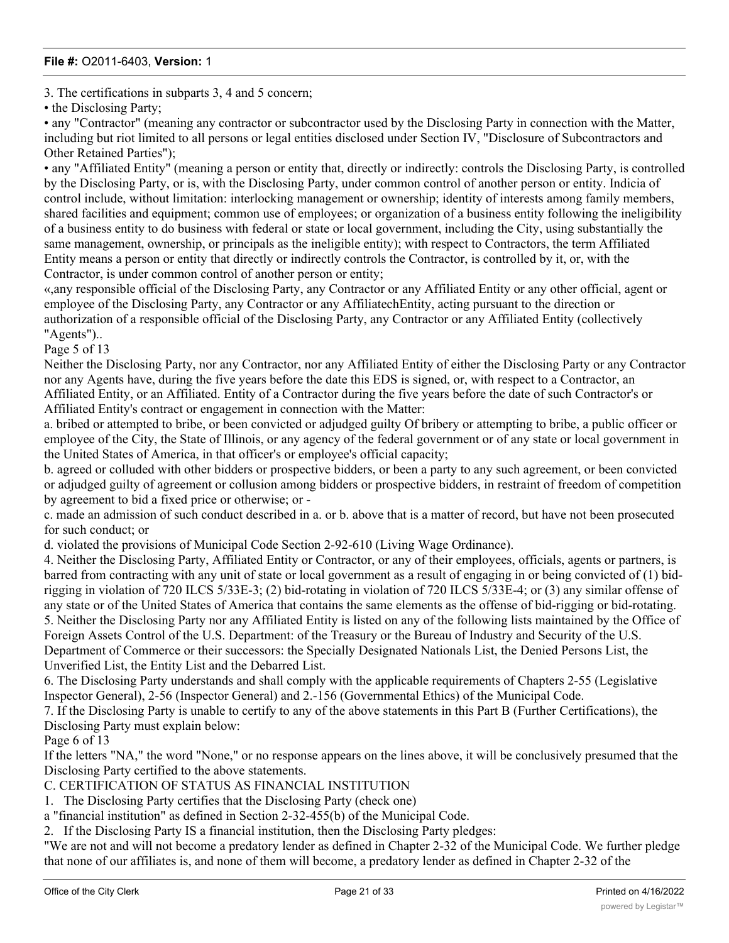3. The certifications in subparts 3, 4 and 5 concern;

• the Disclosing Party;

• any "Contractor" (meaning any contractor or subcontractor used by the Disclosing Party in connection with the Matter, including but riot limited to all persons or legal entities disclosed under Section IV, "Disclosure of Subcontractors and Other Retained Parties");

• any "Affiliated Entity" (meaning a person or entity that, directly or indirectly: controls the Disclosing Party, is controlled by the Disclosing Party, or is, with the Disclosing Party, under common control of another person or entity. Indicia of control include, without limitation: interlocking management or ownership; identity of interests among family members, shared facilities and equipment; common use of employees; or organization of a business entity following the ineligibility of a business entity to do business with federal or state or local government, including the City, using substantially the same management, ownership, or principals as the ineligible entity); with respect to Contractors, the term Affiliated Entity means a person or entity that directly or indirectly controls the Contractor, is controlled by it, or, with the Contractor, is under common control of another person or entity;

«,any responsible official of the Disclosing Party, any Contractor or any Affiliated Entity or any other official, agent or employee of the Disclosing Party, any Contractor or any AffiliatechEntity, acting pursuant to the direction or authorization of a responsible official of the Disclosing Party, any Contractor or any Affiliated Entity (collectively "Agents")..

Page 5 of 13

Neither the Disclosing Party, nor any Contractor, nor any Affiliated Entity of either the Disclosing Party or any Contractor nor any Agents have, during the five years before the date this EDS is signed, or, with respect to a Contractor, an Affiliated Entity, or an Affiliated. Entity of a Contractor during the five years before the date of such Contractor's or Affiliated Entity's contract or engagement in connection with the Matter:

a. bribed or attempted to bribe, or been convicted or adjudged guilty Of bribery or attempting to bribe, a public officer or employee of the City, the State of Illinois, or any agency of the federal government or of any state or local government in the United States of America, in that officer's or employee's official capacity;

b. agreed or colluded with other bidders or prospective bidders, or been a party to any such agreement, or been convicted or adjudged guilty of agreement or collusion among bidders or prospective bidders, in restraint of freedom of competition by agreement to bid a fixed price or otherwise; or -

c. made an admission of such conduct described in a. or b. above that is a matter of record, but have not been prosecuted for such conduct; or

d. violated the provisions of Municipal Code Section 2-92-610 (Living Wage Ordinance).

4. Neither the Disclosing Party, Affiliated Entity or Contractor, or any of their employees, officials, agents or partners, is barred from contracting with any unit of state or local government as a result of engaging in or being convicted of (1) bidrigging in violation of 720 ILCS 5/33E-3; (2) bid-rotating in violation of 720 ILCS 5/33E-4; or (3) any similar offense of any state or of the United States of America that contains the same elements as the offense of bid-rigging or bid-rotating. 5. Neither the Disclosing Party nor any Affiliated Entity is listed on any of the following lists maintained by the Office of Foreign Assets Control of the U.S. Department: of the Treasury or the Bureau of Industry and Security of the U.S. Department of Commerce or their successors: the Specially Designated Nationals List, the Denied Persons List, the Unverified List, the Entity List and the Debarred List.

6. The Disclosing Party understands and shall comply with the applicable requirements of Chapters 2-55 (Legislative Inspector General), 2-56 (Inspector General) and 2.-156 (Governmental Ethics) of the Municipal Code.

7. If the Disclosing Party is unable to certify to any of the above statements in this Part B (Further Certifications), the Disclosing Party must explain below:

Page 6 of 13

If the letters "NA," the word "None," or no response appears on the lines above, it will be conclusively presumed that the Disclosing Party certified to the above statements.

C. CERTIFICATION OF STATUS AS FINANCIAL INSTITUTION

1. The Disclosing Party certifies that the Disclosing Party (check one)

a "financial institution" as defined in Section 2-32-455(b) of the Municipal Code.

2. If the Disclosing Party IS a financial institution, then the Disclosing Party pledges:

"We are not and will not become a predatory lender as defined in Chapter 2-32 of the Municipal Code. We further pledge that none of our affiliates is, and none of them will become, a predatory lender as defined in Chapter 2-32 of the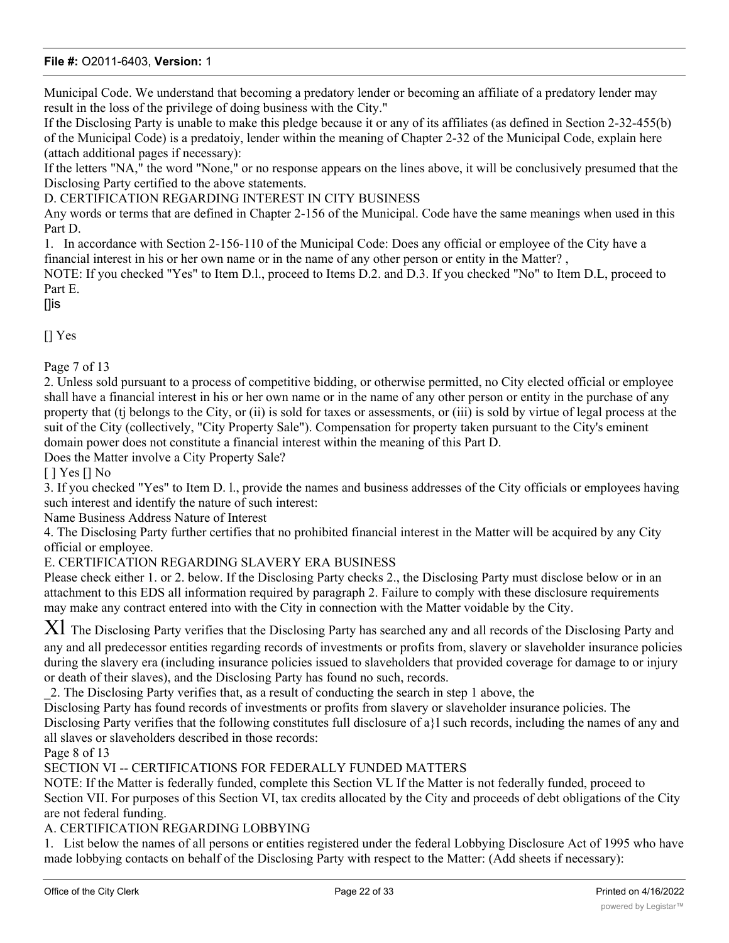Municipal Code. We understand that becoming a predatory lender or becoming an affiliate of a predatory lender may result in the loss of the privilege of doing business with the City."

If the Disclosing Party is unable to make this pledge because it or any of its affiliates (as defined in Section 2-32-455(b) of the Municipal Code) is a predatoiy, lender within the meaning of Chapter 2-32 of the Municipal Code, explain here (attach additional pages if necessary):

If the letters "NA," the word "None," or no response appears on the lines above, it will be conclusively presumed that the Disclosing Party certified to the above statements.

D. CERTIFICATION REGARDING INTEREST IN CITY BUSINESS

Any words or terms that are defined in Chapter 2-156 of the Municipal. Code have the same meanings when used in this Part D.

1. In accordance with Section 2-156-110 of the Municipal Code: Does any official or employee of the City have a financial interest in his or her own name or in the name of any other person or entity in the Matter? ,

NOTE: If you checked "Yes" to Item D.l., proceed to Items D.2. and D.3. If you checked "No" to Item D.L, proceed to Part E.

[]is

[] Yes

Page 7 of 13

2. Unless sold pursuant to a process of competitive bidding, or otherwise permitted, no City elected official or employee shall have a financial interest in his or her own name or in the name of any other person or entity in the purchase of any property that (tj belongs to the City, or (ii) is sold for taxes or assessments, or (iii) is sold by virtue of legal process at the suit of the City (collectively, "City Property Sale"). Compensation for property taken pursuant to the City's eminent domain power does not constitute a financial interest within the meaning of this Part D.

Does the Matter involve a City Property Sale?

[ ] Yes [] No

3. If you checked "Yes" to Item D. l., provide the names and business addresses of the City officials or employees having such interest and identify the nature of such interest:

Name Business Address Nature of Interest

4. The Disclosing Party further certifies that no prohibited financial interest in the Matter will be acquired by any City official or employee.

E. CERTIFICATION REGARDING SLAVERY ERA BUSINESS

Please check either 1. or 2. below. If the Disclosing Party checks 2., the Disclosing Party must disclose below or in an attachment to this EDS all information required by paragraph 2. Failure to comply with these disclosure requirements may make any contract entered into with the City in connection with the Matter voidable by the City.

 $XI$  The Disclosing Party verifies that the Disclosing Party has searched any and all records of the Disclosing Party and any and all predecessor entities regarding records of investments or profits from, slavery or slaveholder insurance policies during the slavery era (including insurance policies issued to slaveholders that provided coverage for damage to or injury or death of their slaves), and the Disclosing Party has found no such, records.

\_2. The Disclosing Party verifies that, as a result of conducting the search in step 1 above, the

Disclosing Party has found records of investments or profits from slavery or slaveholder insurance policies. The

Disclosing Party verifies that the following constitutes full disclosure of a}l such records, including the names of any and all slaves or slaveholders described in those records:

Page 8 of 13

SECTION VI -- CERTIFICATIONS FOR FEDERALLY FUNDED MATTERS

NOTE: If the Matter is federally funded, complete this Section VL If the Matter is not federally funded, proceed to Section VII. For purposes of this Section VI, tax credits allocated by the City and proceeds of debt obligations of the City are not federal funding.

A. CERTIFICATION REGARDING LOBBYING

1. List below the names of all persons or entities registered under the federal Lobbying Disclosure Act of 1995 who have made lobbying contacts on behalf of the Disclosing Party with respect to the Matter: (Add sheets if necessary):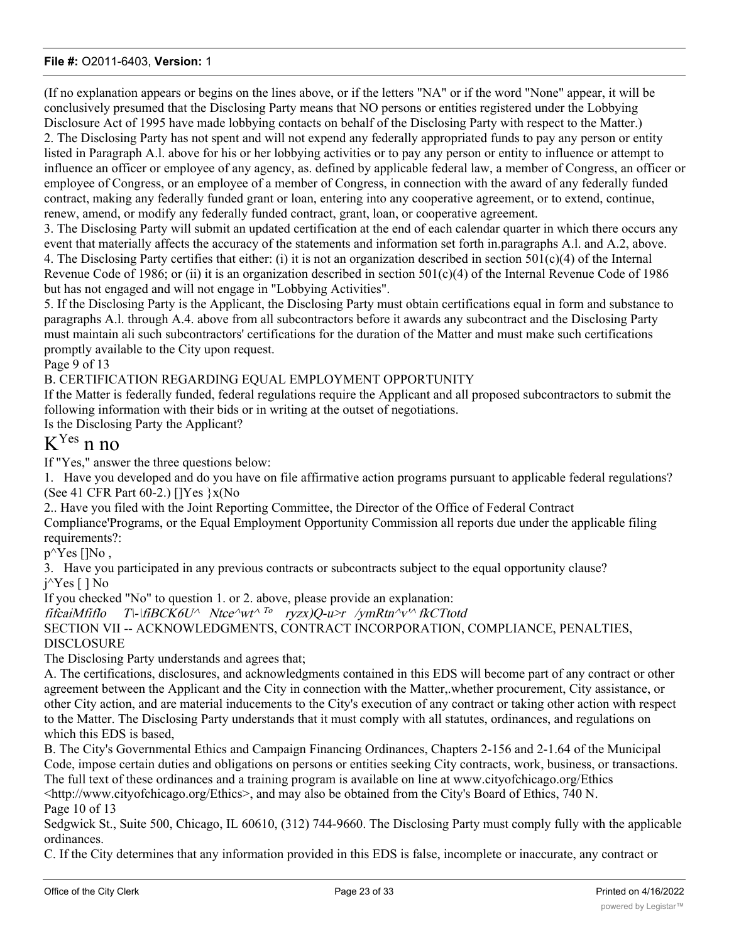(If no explanation appears or begins on the lines above, or if the letters "NA" or if the word "None" appear, it will be conclusively presumed that the Disclosing Party means that NO persons or entities registered under the Lobbying Disclosure Act of 1995 have made lobbying contacts on behalf of the Disclosing Party with respect to the Matter.) 2. The Disclosing Party has not spent and will not expend any federally appropriated funds to pay any person or entity listed in Paragraph A.l. above for his or her lobbying activities or to pay any person or entity to influence or attempt to influence an officer or employee of any agency, as. defined by applicable federal law, a member of Congress, an officer or employee of Congress, or an employee of a member of Congress, in connection with the award of any federally funded contract, making any federally funded grant or loan, entering into any cooperative agreement, or to extend, continue, renew, amend, or modify any federally funded contract, grant, loan, or cooperative agreement.

3. The Disclosing Party will submit an updated certification at the end of each calendar quarter in which there occurs any event that materially affects the accuracy of the statements and information set forth in.paragraphs A.l. and A.2, above. 4. The Disclosing Party certifies that either: (i) it is not an organization described in section  $501(c)(4)$  of the Internal Revenue Code of 1986; or (ii) it is an organization described in section  $501(c)(4)$  of the Internal Revenue Code of 1986 but has not engaged and will not engage in "Lobbying Activities".

5. If the Disclosing Party is the Applicant, the Disclosing Party must obtain certifications equal in form and substance to paragraphs A.l. through A.4. above from all subcontractors before it awards any subcontract and the Disclosing Party must maintain ali such subcontractors' certifications for the duration of the Matter and must make such certifications promptly available to the City upon request.

Page 9 of 13

B. CERTIFICATION REGARDING EQUAL EMPLOYMENT OPPORTUNITY

If the Matter is federally funded, federal regulations require the Applicant and all proposed subcontractors to submit the following information with their bids or in writing at the outset of negotiations.

Is the Disclosing Party the Applicant?

# KYes n no

If "Yes," answer the three questions below:

1. Have you developed and do you have on file affirmative action programs pursuant to applicable federal regulations? (See 41 CFR Part 60-2.) []Yes }x(No

2.. Have you filed with the Joint Reporting Committee, the Director of the Office of Federal Contract Compliance'Programs, or the Equal Employment Opportunity Commission all reports due under the applicable filing requirements?:

 $p^{\wedge}Yes$  []No,

3. Have you participated in any previous contracts or subcontracts subject to the equal opportunity clause? j^Yes [ ] No

If you checked "No" to question 1. or 2. above, please provide an explanation:

fifcaiMfiflo T\-\fiBCK6U^ Ntce^wt^ <sup>To</sup> ryzx)Q-u>r /ymRtn^v'^ fkCTtotd SECTION VII -- ACKNOWLEDGMENTS, CONTRACT INCORPORATION, COMPLIANCE, PENALTIES, DISCLOSURE

The Disclosing Party understands and agrees that;

A. The certifications, disclosures, and acknowledgments contained in this EDS will become part of any contract or other agreement between the Applicant and the City in connection with the Matter,.whether procurement, City assistance, or other City action, and are material inducements to the City's execution of any contract or taking other action with respect to the Matter. The Disclosing Party understands that it must comply with all statutes, ordinances, and regulations on which this EDS is based,

B. The City's Governmental Ethics and Campaign Financing Ordinances, Chapters 2-156 and 2-1.64 of the Municipal Code, impose certain duties and obligations on persons or entities seeking City contracts, work, business, or transactions. The full text of these ordinances and a training program is available on line at www.cityofchicago.org/Ethics <http://www.cityofchicago.org/Ethics>, and may also be obtained from the City's Board of Ethics, 740 N. Page 10 of 13

Sedgwick St., Suite 500, Chicago, IL 60610, (312) 744-9660. The Disclosing Party must comply fully with the applicable ordinances.

C. If the City determines that any information provided in this EDS is false, incomplete or inaccurate, any contract or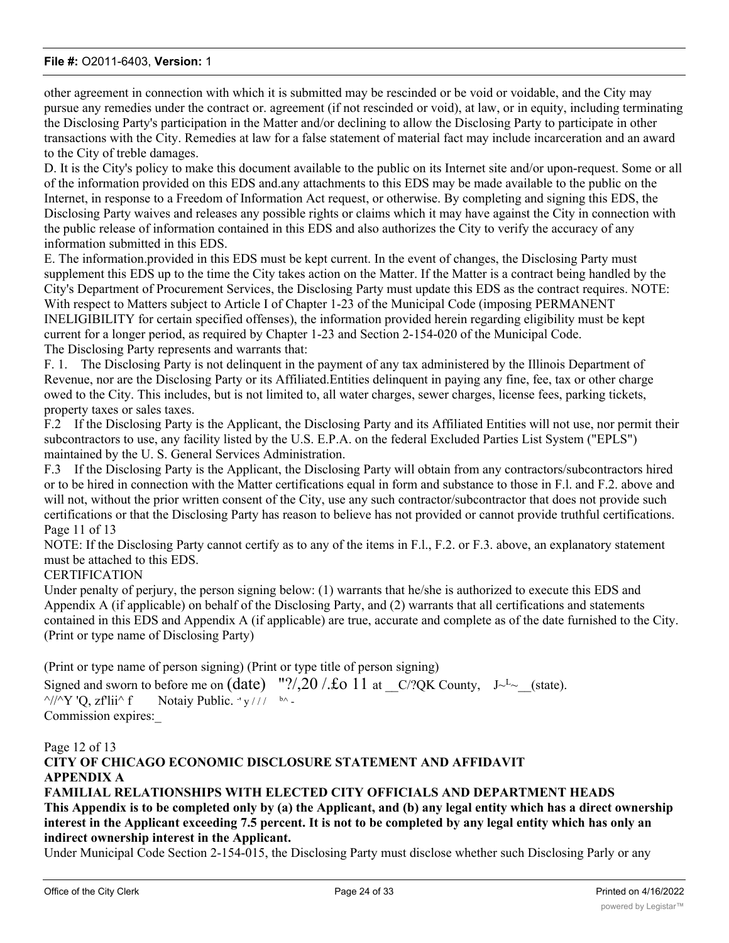other agreement in connection with which it is submitted may be rescinded or be void or voidable, and the City may pursue any remedies under the contract or. agreement (if not rescinded or void), at law, or in equity, including terminating the Disclosing Party's participation in the Matter and/or declining to allow the Disclosing Party to participate in other transactions with the City. Remedies at law for a false statement of material fact may include incarceration and an award to the City of treble damages.

D. It is the City's policy to make this document available to the public on its Internet site and/or upon-request. Some or all of the information provided on this EDS and.any attachments to this EDS may be made available to the public on the Internet, in response to a Freedom of Information Act request, or otherwise. By completing and signing this EDS, the Disclosing Party waives and releases any possible rights or claims which it may have against the City in connection with the public release of information contained in this EDS and also authorizes the City to verify the accuracy of any information submitted in this EDS.

E. The information.provided in this EDS must be kept current. In the event of changes, the Disclosing Party must supplement this EDS up to the time the City takes action on the Matter. If the Matter is a contract being handled by the City's Department of Procurement Services, the Disclosing Party must update this EDS as the contract requires. NOTE: With respect to Matters subject to Article I of Chapter 1-23 of the Municipal Code (imposing PERMANENT INELIGIBILITY for certain specified offenses), the information provided herein regarding eligibility must be kept current for a longer period, as required by Chapter 1-23 and Section 2-154-020 of the Municipal Code. The Disclosing Party represents and warrants that:

F. 1. The Disclosing Party is not delinquent in the payment of any tax administered by the Illinois Department of Revenue, nor are the Disclosing Party or its Affiliated.Entities delinquent in paying any fine, fee, tax or other charge owed to the City. This includes, but is not limited to, all water charges, sewer charges, license fees, parking tickets, property taxes or sales taxes.

F.2 If the Disclosing Party is the Applicant, the Disclosing Party and its Affiliated Entities will not use, nor permit their subcontractors to use, any facility listed by the U.S. E.P.A. on the federal Excluded Parties List System ("EPLS") maintained by the U. S. General Services Administration.

F.3 If the Disclosing Party is the Applicant, the Disclosing Party will obtain from any contractors/subcontractors hired or to be hired in connection with the Matter certifications equal in form and substance to those in F.l. and F.2. above and will not, without the prior written consent of the City, use any such contractor/subcontractor that does not provide such certifications or that the Disclosing Party has reason to believe has not provided or cannot provide truthful certifications. Page 11 of 13

NOTE: If the Disclosing Party cannot certify as to any of the items in F.l., F.2. or F.3. above, an explanatory statement must be attached to this EDS.

## **CERTIFICATION**

Under penalty of perjury, the person signing below: (1) warrants that he/she is authorized to execute this EDS and Appendix A (if applicable) on behalf of the Disclosing Party, and (2) warrants that all certifications and statements contained in this EDS and Appendix A (if applicable) are true, accurate and complete as of the date furnished to the City. (Print or type name of Disclosing Party)

(Print or type name of person signing) (Print or type title of person signing)

Signed and sworn to before me on  $(data)$  "?/,20 /. $\pounds$ o 11 at  $C$ ?QK County, J~<sup>L</sup>~ (state).  $\frac{\gamma}{\gamma}$ 'Q, zf'lii^ f  $'$  y / / /  $^{b}$  ^ -Commission expires:\_

## Page 12 of 13

# **CITY OF CHICAGO ECONOMIC DISCLOSURE STATEMENT AND AFFIDAVIT APPENDIX A**

## **FAMILIAL RELATIONSHIPS WITH ELECTED CITY OFFICIALS AND DEPARTMENT HEADS This Appendix is to be completed only by (a) the Applicant, and (b) any legal entity which has a direct ownership interest in the Applicant exceeding 7.5 percent. It is not to be completed by any legal entity which has only an indirect ownership interest in the Applicant.**

Under Municipal Code Section 2-154-015, the Disclosing Party must disclose whether such Disclosing Parly or any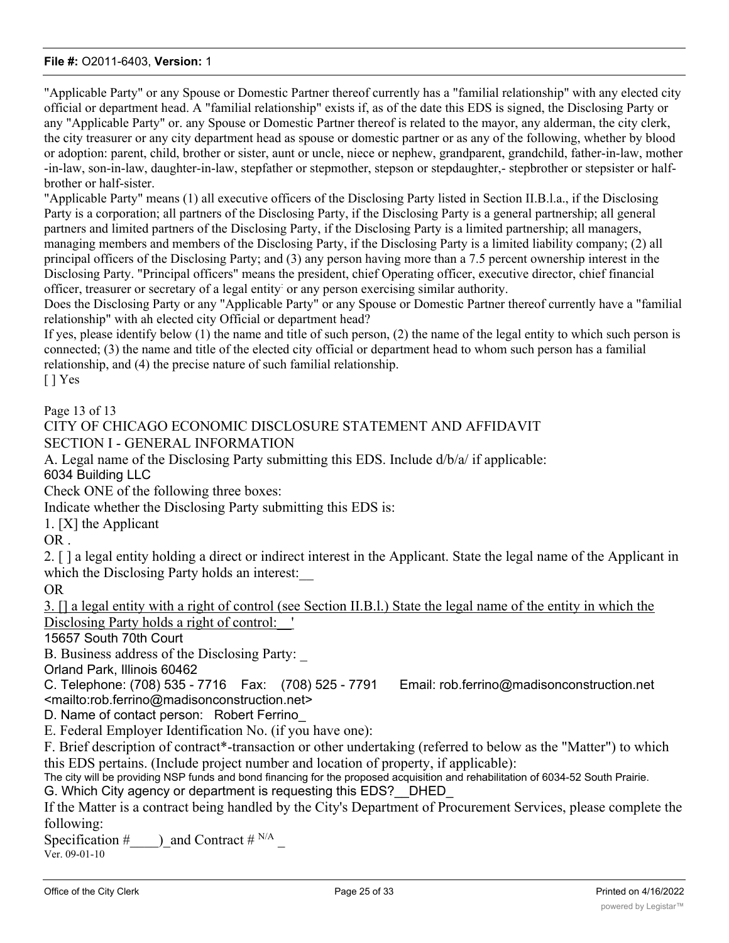"Applicable Party" or any Spouse or Domestic Partner thereof currently has a "familial relationship" with any elected city official or department head. A "familial relationship" exists if, as of the date this EDS is signed, the Disclosing Party or any "Applicable Party" or. any Spouse or Domestic Partner thereof is related to the mayor, any alderman, the city clerk, the city treasurer or any city department head as spouse or domestic partner or as any of the following, whether by blood or adoption: parent, child, brother or sister, aunt or uncle, niece or nephew, grandparent, grandchild, father-in-law, mother -in-law, son-in-law, daughter-in-law, stepfather or stepmother, stepson or stepdaughter,- stepbrother or stepsister or halfbrother or half-sister.

"Applicable Party" means (1) all executive officers of the Disclosing Party listed in Section II.B.l.a., if the Disclosing Party is a corporation; all partners of the Disclosing Party, if the Disclosing Party is a general partnership; all general partners and limited partners of the Disclosing Party, if the Disclosing Party is a limited partnership; all managers, managing members and members of the Disclosing Party, if the Disclosing Party is a limited liability company; (2) all principal officers of the Disclosing Party; and (3) any person having more than a 7.5 percent ownership interest in the Disclosing Party. "Principal officers" means the president, chief Operating officer, executive director, chief financial officer, treasurer or secretary of a legal entity: or any person exercising similar authority.

Does the Disclosing Party or any "Applicable Party" or any Spouse or Domestic Partner thereof currently have a "familial relationship" with ah elected city Official or department head?

If yes, please identify below (1) the name and title of such person, (2) the name of the legal entity to which such person is connected; (3) the name and title of the elected city official or department head to whom such person has a familial relationship, and (4) the precise nature of such familial relationship. [ ] Yes

Page 13 of 13

#### CITY OF CHICAGO ECONOMIC DISCLOSURE STATEMENT AND AFFIDAVIT SECTION I - GENERAL INFORMATION

A. Legal name of the Disclosing Party submitting this EDS. Include d/b/a/ if applicable: 6034 Building LLC

Check ONE of the following three boxes:

Indicate whether the Disclosing Party submitting this EDS is:

1. [X] the Applicant

OR .

2. [ ] a legal entity holding a direct or indirect interest in the Applicant. State the legal name of the Applicant in which the Disclosing Party holds an interest:

OR

3. [] a legal entity with a right of control (see Section II.B.l.) State the legal name of the entity in which the Disclosing Party holds a right of control: '

15657 South 70th Court

B. Business address of the Disclosing Party:

Orland Park, Illinois 60462

C. Telephone: (708) 535 - 7716 Fax: (708) 525 - 7791 Email: rob.ferrino@madisonconstruction.net <mailto:rob.ferrino@madisonconstruction.net>

D. Name of contact person: Robert Ferrino

E. Federal Employer Identification No. (if you have one):

F. Brief description of contract\*-transaction or other undertaking (referred to below as the "Matter") to which this EDS pertains. (Include project number and location of property, if applicable):

The city will be providing NSP funds and bond financing for the proposed acquisition and rehabilitation of 6034-52 South Prairie.

G. Which City agency or department is requesting this EDS?\_\_DHED\_

If the Matter is a contract being handled by the City's Department of Procurement Services, please complete the following:

Specification #  $\Box$ ) and Contract # <sup>N/A</sup> Ver. 09-01-10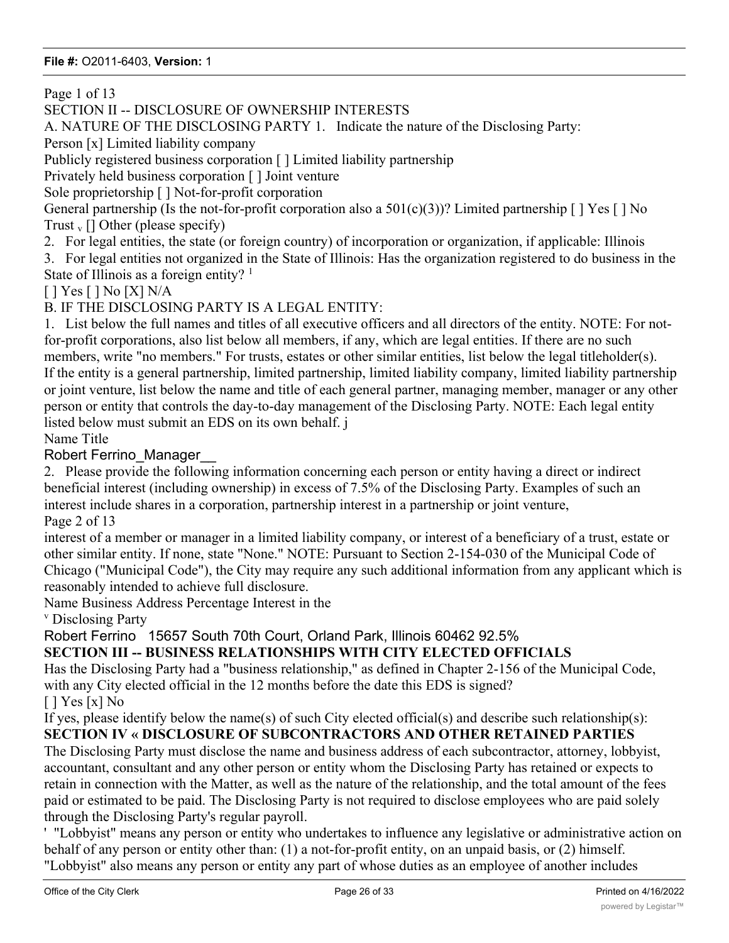Page 1 of 13

SECTION II -- DISCLOSURE OF OWNERSHIP INTERESTS

A. NATURE OF THE DISCLOSING PARTY 1. Indicate the nature of the Disclosing Party:

Person [x] Limited liability company

Publicly registered business corporation [ ] Limited liability partnership

Privately held business corporation [ ] Joint venture

Sole proprietorship [ ] Not-for-profit corporation

General partnership (Is the not-for-profit corporation also a  $501(c)(3)$ )? Limited partnership [] Yes [] No Trust  $_{v}$  [] Other (please specify)

2. For legal entities, the state (or foreign country) of incorporation or organization, if applicable: Illinois

3. For legal entities not organized in the State of Illinois: Has the organization registered to do business in the State of Illinois as a foreign entity?  $1$ 

[ ] Yes [ ] No [X] N/A

B. IF THE DISCLOSING PARTY IS A LEGAL ENTITY:

1. List below the full names and titles of all executive officers and all directors of the entity. NOTE: For notfor-profit corporations, also list below all members, if any, which are legal entities. If there are no such members, write "no members." For trusts, estates or other similar entities, list below the legal titleholder(s). If the entity is a general partnership, limited partnership, limited liability company, limited liability partnership or joint venture, list below the name and title of each general partner, managing member, manager or any other person or entity that controls the day-to-day management of the Disclosing Party. NOTE: Each legal entity listed below must submit an EDS on its own behalf. j

Name Title

# Robert Ferrino\_Manager\_\_

2. Please provide the following information concerning each person or entity having a direct or indirect beneficial interest (including ownership) in excess of 7.5% of the Disclosing Party. Examples of such an interest include shares in a corporation, partnership interest in a partnership or joint venture,

Page 2 of 13

interest of a member or manager in a limited liability company, or interest of a beneficiary of a trust, estate or other similar entity. If none, state "None." NOTE: Pursuant to Section 2-154-030 of the Municipal Code of Chicago ("Municipal Code"), the City may require any such additional information from any applicant which is reasonably intended to achieve full disclosure.

Name Business Address Percentage Interest in the

v Disclosing Party

# Robert Ferrino 15657 South 70th Court, Orland Park, Illinois 60462 92.5%

# **SECTION III -- BUSINESS RELATIONSHIPS WITH CITY ELECTED OFFICIALS**

Has the Disclosing Party had a "business relationship," as defined in Chapter 2-156 of the Municipal Code, with any City elected official in the 12 months before the date this EDS is signed?

 $[$   $]$  Yes  $[x]$  No

If yes, please identify below the name(s) of such City elected official(s) and describe such relationship(s):

# **SECTION IV « DISCLOSURE OF SUBCONTRACTORS AND OTHER RETAINED PARTIES**

The Disclosing Party must disclose the name and business address of each subcontractor, attorney, lobbyist, accountant, consultant and any other person or entity whom the Disclosing Party has retained or expects to retain in connection with the Matter, as well as the nature of the relationship, and the total amount of the fees paid or estimated to be paid. The Disclosing Party is not required to disclose employees who are paid solely through the Disclosing Party's regular payroll.

' "Lobbyist" means any person or entity who undertakes to influence any legislative or administrative action on behalf of any person or entity other than: (1) a not-for-profit entity, on an unpaid basis, or (2) himself. "Lobbyist" also means any person or entity any part of whose duties as an employee of another includes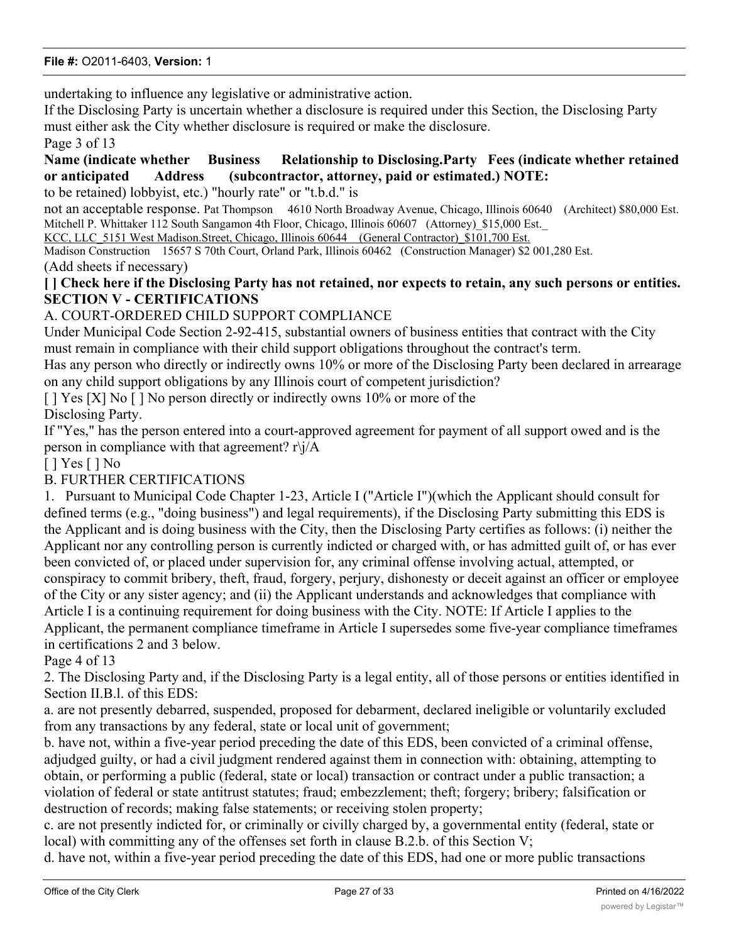undertaking to influence any legislative or administrative action.

If the Disclosing Party is uncertain whether a disclosure is required under this Section, the Disclosing Party must either ask the City whether disclosure is required or make the disclosure.

Page 3 of 13

# **Name (indicate whether Business Relationship to Disclosing.Party Fees (indicate whether retained or anticipated Address (subcontractor, attorney, paid or estimated.) NOTE:**

to be retained) lobbyist, etc.) "hourly rate" or "t.b.d." is

not an acceptable response. Pat Thompson 4610 North Broadway Avenue, Chicago, Illinois 60640 (Architect) \$80,000 Est. Mitchell P. Whittaker 112 South Sangamon 4th Floor, Chicago, Illinois 60607 (Attorney) \$15,000 Est.

KCC, LLC 5151 West Madison.Street, Chicago, Illinois 60644 (General Contractor) \$101,700 Est.

Madison Construction 15657 S 70th Court, Orland Park, Illinois 60462 (Construction Manager) \$2 001,280 Est. (Add sheets if necessary)

# **[ ] Check here if the Disclosing Party has not retained, nor expects to retain, any such persons or entities. SECTION V - CERTIFICATIONS**

# A. COURT-ORDERED CHILD SUPPORT COMPLIANCE

Under Municipal Code Section 2-92-415, substantial owners of business entities that contract with the City must remain in compliance with their child support obligations throughout the contract's term.

Has any person who directly or indirectly owns 10% or more of the Disclosing Party been declared in arrearage on any child support obligations by any Illinois court of competent jurisdiction?

[ ] Yes [X] No [ ] No person directly or indirectly owns 10% or more of the Disclosing Party.

If "Yes," has the person entered into a court-approved agreement for payment of all support owed and is the person in compliance with that agreement? r\j/A

[ ] Yes [ ] No

## B. FURTHER CERTIFICATIONS

1. Pursuant to Municipal Code Chapter 1-23, Article I ("Article I")(which the Applicant should consult for defined terms (e.g., "doing business") and legal requirements), if the Disclosing Party submitting this EDS is the Applicant and is doing business with the City, then the Disclosing Party certifies as follows: (i) neither the Applicant nor any controlling person is currently indicted or charged with, or has admitted guilt of, or has ever been convicted of, or placed under supervision for, any criminal offense involving actual, attempted, or conspiracy to commit bribery, theft, fraud, forgery, perjury, dishonesty or deceit against an officer or employee of the City or any sister agency; and (ii) the Applicant understands and acknowledges that compliance with Article I is a continuing requirement for doing business with the City. NOTE: If Article I applies to the Applicant, the permanent compliance timeframe in Article I supersedes some five-year compliance timeframes in certifications 2 and 3 below.

Page 4 of 13

2. The Disclosing Party and, if the Disclosing Party is a legal entity, all of those persons or entities identified in Section II.B.l. of this EDS:

a. are not presently debarred, suspended, proposed for debarment, declared ineligible or voluntarily excluded from any transactions by any federal, state or local unit of government;

b. have not, within a five-year period preceding the date of this EDS, been convicted of a criminal offense, adjudged guilty, or had a civil judgment rendered against them in connection with: obtaining, attempting to obtain, or performing a public (federal, state or local) transaction or contract under a public transaction; a violation of federal or state antitrust statutes; fraud; embezzlement; theft; forgery; bribery; falsification or destruction of records; making false statements; or receiving stolen property;

c. are not presently indicted for, or criminally or civilly charged by, a governmental entity (federal, state or local) with committing any of the offenses set forth in clause B.2.b. of this Section V;

d. have not, within a five-year period preceding the date of this EDS, had one or more public transactions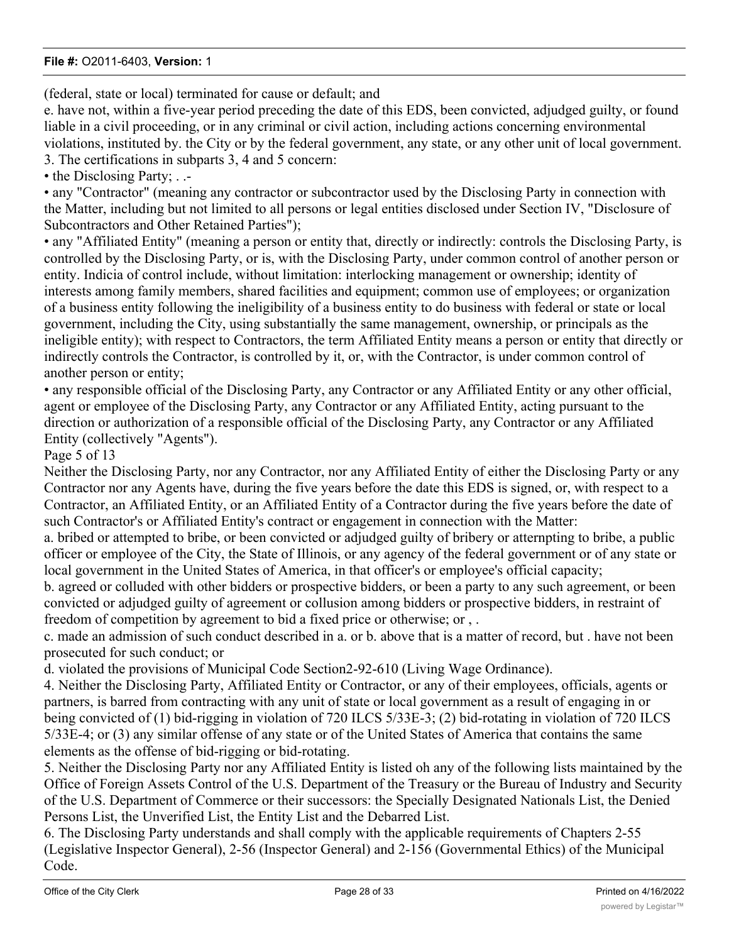(federal, state or local) terminated for cause or default; and

e. have not, within a five-year period preceding the date of this EDS, been convicted, adjudged guilty, or found liable in a civil proceeding, or in any criminal or civil action, including actions concerning environmental violations, instituted by. the City or by the federal government, any state, or any other unit of local government. 3. The certifications in subparts 3, 4 and 5 concern:

• the Disclosing Party; . .-

• any "Contractor" (meaning any contractor or subcontractor used by the Disclosing Party in connection with the Matter, including but not limited to all persons or legal entities disclosed under Section IV, "Disclosure of Subcontractors and Other Retained Parties");

• any "Affiliated Entity" (meaning a person or entity that, directly or indirectly: controls the Disclosing Party, is controlled by the Disclosing Party, or is, with the Disclosing Party, under common control of another person or entity. Indicia of control include, without limitation: interlocking management or ownership; identity of interests among family members, shared facilities and equipment; common use of employees; or organization of a business entity following the ineligibility of a business entity to do business with federal or state or local government, including the City, using substantially the same management, ownership, or principals as the ineligible entity); with respect to Contractors, the term Affiliated Entity means a person or entity that directly or indirectly controls the Contractor, is controlled by it, or, with the Contractor, is under common control of another person or entity;

• any responsible official of the Disclosing Party, any Contractor or any Affiliated Entity or any other official, agent or employee of the Disclosing Party, any Contractor or any Affiliated Entity, acting pursuant to the direction or authorization of a responsible official of the Disclosing Party, any Contractor or any Affiliated Entity (collectively "Agents").

Page 5 of 13

Neither the Disclosing Party, nor any Contractor, nor any Affiliated Entity of either the Disclosing Party or any Contractor nor any Agents have, during the five years before the date this EDS is signed, or, with respect to a Contractor, an Affiliated Entity, or an Affiliated Entity of a Contractor during the five years before the date of such Contractor's or Affiliated Entity's contract or engagement in connection with the Matter:

a. bribed or attempted to bribe, or been convicted or adjudged guilty of bribery or atternpting to bribe, a public officer or employee of the City, the State of Illinois, or any agency of the federal government or of any state or local government in the United States of America, in that officer's or employee's official capacity;

b. agreed or colluded with other bidders or prospective bidders, or been a party to any such agreement, or been convicted or adjudged guilty of agreement or collusion among bidders or prospective bidders, in restraint of freedom of competition by agreement to bid a fixed price or otherwise; or , .

c. made an admission of such conduct described in a. or b. above that is a matter of record, but . have not been prosecuted for such conduct; or

d. violated the provisions of Municipal Code Section2-92-610 (Living Wage Ordinance).

4. Neither the Disclosing Party, Affiliated Entity or Contractor, or any of their employees, officials, agents or partners, is barred from contracting with any unit of state or local government as a result of engaging in or being convicted of (1) bid-rigging in violation of 720 ILCS 5/33E-3; (2) bid-rotating in violation of 720 ILCS 5/33E-4; or (3) any similar offense of any state or of the United States of America that contains the same elements as the offense of bid-rigging or bid-rotating.

5. Neither the Disclosing Party nor any Affiliated Entity is listed oh any of the following lists maintained by the Office of Foreign Assets Control of the U.S. Department of the Treasury or the Bureau of Industry and Security of the U.S. Department of Commerce or their successors: the Specially Designated Nationals List, the Denied Persons List, the Unverified List, the Entity List and the Debarred List.

6. The Disclosing Party understands and shall comply with the applicable requirements of Chapters 2-55 (Legislative Inspector General), 2-56 (Inspector General) and 2-156 (Governmental Ethics) of the Municipal Code.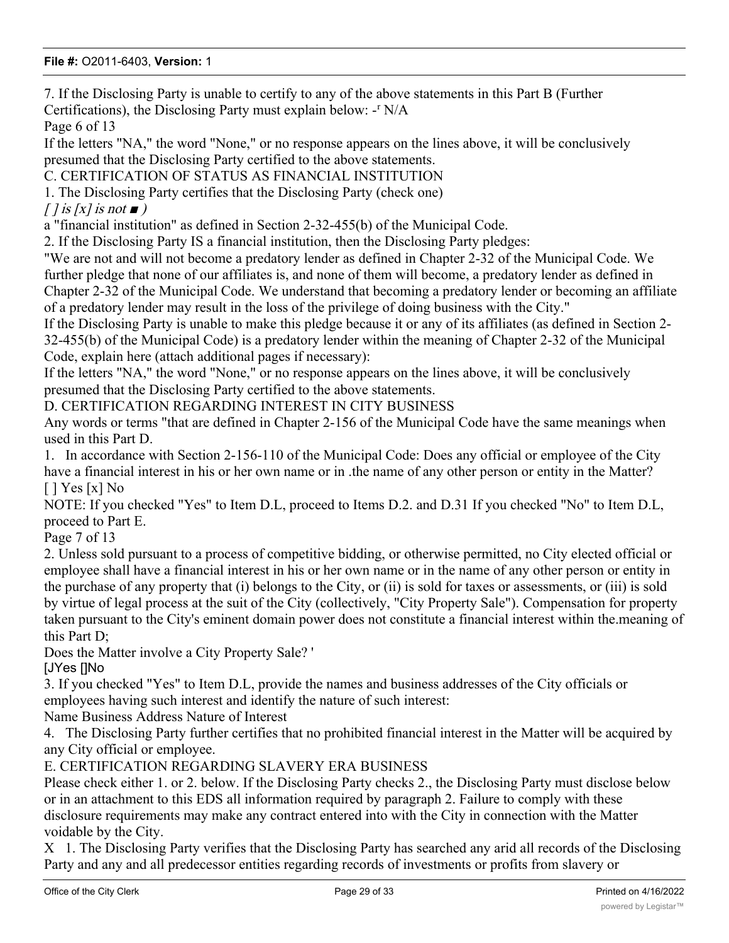7. If the Disclosing Party is unable to certify to any of the above statements in this Part B (Further Certifications), the Disclosing Party must explain below: -<sup>r</sup> N/A

Page 6 of 13

If the letters "NA," the word "None," or no response appears on the lines above, it will be conclusively presumed that the Disclosing Party certified to the above statements.

C. CERTIFICATION OF STATUS AS FINANCIAL INSTITUTION

1. The Disclosing Party certifies that the Disclosing Party (check one)

 $\int$  *i* is  $\int$  *is not*  $\blacksquare$  *j* 

a "financial institution" as defined in Section 2-32-455(b) of the Municipal Code.

2. If the Disclosing Party IS a financial institution, then the Disclosing Party pledges:

"We are not and will not become a predatory lender as defined in Chapter 2-32 of the Municipal Code. We further pledge that none of our affiliates is, and none of them will become, a predatory lender as defined in Chapter 2-32 of the Municipal Code. We understand that becoming a predatory lender or becoming an affiliate of a predatory lender may result in the loss of the privilege of doing business with the City."

If the Disclosing Party is unable to make this pledge because it or any of its affiliates (as defined in Section 2- 32-455(b) of the Municipal Code) is a predatory lender within the meaning of Chapter 2-32 of the Municipal Code, explain here (attach additional pages if necessary):

If the letters "NA," the word "None," or no response appears on the lines above, it will be conclusively presumed that the Disclosing Party certified to the above statements.

D. CERTIFICATION REGARDING INTEREST IN CITY BUSINESS

Any words or terms "that are defined in Chapter 2-156 of the Municipal Code have the same meanings when used in this Part D.

1. In accordance with Section 2-156-110 of the Municipal Code: Does any official or employee of the City have a financial interest in his or her own name or in .the name of any other person or entity in the Matter?  $[$   $]$  Yes  $[x]$  No

NOTE: If you checked "Yes" to Item D.L, proceed to Items D.2. and D.31 If you checked "No" to Item D.L, proceed to Part E.

Page 7 of 13

2. Unless sold pursuant to a process of competitive bidding, or otherwise permitted, no City elected official or employee shall have a financial interest in his or her own name or in the name of any other person or entity in the purchase of any property that (i) belongs to the City, or (ii) is sold for taxes or assessments, or (iii) is sold by virtue of legal process at the suit of the City (collectively, "City Property Sale"). Compensation for property taken pursuant to the City's eminent domain power does not constitute a financial interest within the.meaning of this Part D;

Does the Matter involve a City Property Sale? '

[JYes []No

3. If you checked "Yes" to Item D.L, provide the names and business addresses of the City officials or employees having such interest and identify the nature of such interest:

Name Business Address Nature of Interest

4. The Disclosing Party further certifies that no prohibited financial interest in the Matter will be acquired by any City official or employee.

E. CERTIFICATION REGARDING SLAVERY ERA BUSINESS

Please check either 1. or 2. below. If the Disclosing Party checks 2., the Disclosing Party must disclose below or in an attachment to this EDS all information required by paragraph 2. Failure to comply with these disclosure requirements may make any contract entered into with the City in connection with the Matter voidable by the City.

X 1. The Disclosing Party verifies that the Disclosing Party has searched any arid all records of the Disclosing Party and any and all predecessor entities regarding records of investments or profits from slavery or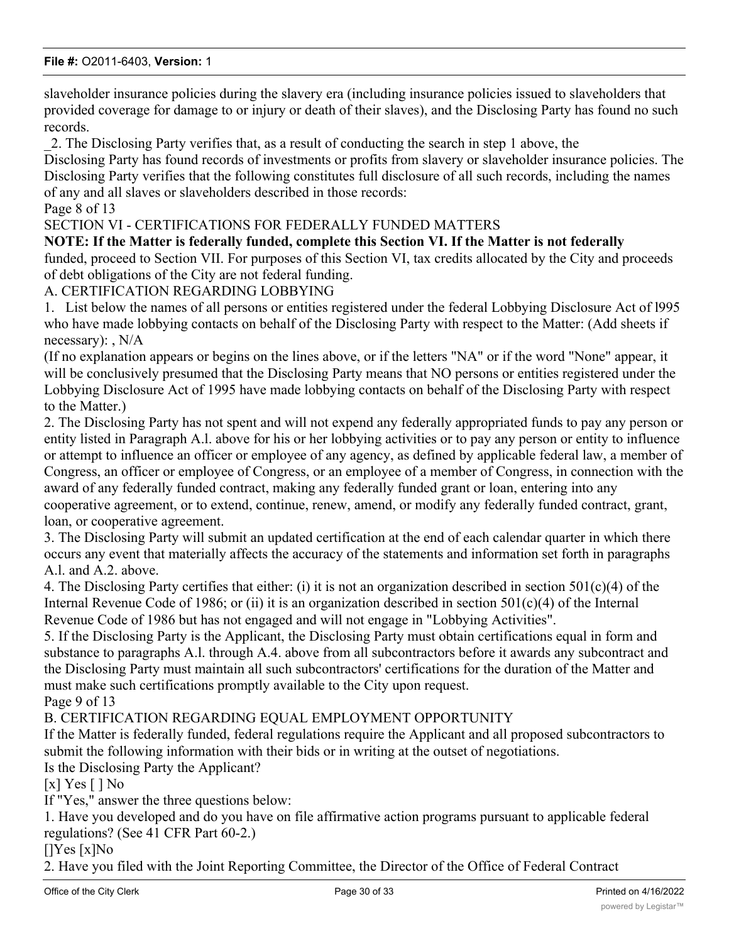slaveholder insurance policies during the slavery era (including insurance policies issued to slaveholders that provided coverage for damage to or injury or death of their slaves), and the Disclosing Party has found no such records.

\_2. The Disclosing Party verifies that, as a result of conducting the search in step 1 above, the

Disclosing Party has found records of investments or profits from slavery or slaveholder insurance policies. The Disclosing Party verifies that the following constitutes full disclosure of all such records, including the names of any and all slaves or slaveholders described in those records:

Page 8 of 13

SECTION VI - CERTIFICATIONS FOR FEDERALLY FUNDED MATTERS

**NOTE: If the Matter is federally funded, complete this Section VI. If the Matter is not federally**

funded, proceed to Section VII. For purposes of this Section VI, tax credits allocated by the City and proceeds of debt obligations of the City are not federal funding.

A. CERTIFICATION REGARDING LOBBYING

1. List below the names of all persons or entities registered under the federal Lobbying Disclosure Act of l995 who have made lobbying contacts on behalf of the Disclosing Party with respect to the Matter: (Add sheets if necessary): , N/A

(If no explanation appears or begins on the lines above, or if the letters "NA" or if the word "None" appear, it will be conclusively presumed that the Disclosing Party means that NO persons or entities registered under the Lobbying Disclosure Act of 1995 have made lobbying contacts on behalf of the Disclosing Party with respect to the Matter.)

2. The Disclosing Party has not spent and will not expend any federally appropriated funds to pay any person or entity listed in Paragraph A.l. above for his or her lobbying activities or to pay any person or entity to influence or attempt to influence an officer or employee of any agency, as defined by applicable federal law, a member of Congress, an officer or employee of Congress, or an employee of a member of Congress, in connection with the award of any federally funded contract, making any federally funded grant or loan, entering into any cooperative agreement, or to extend, continue, renew, amend, or modify any federally funded contract, grant,

loan, or cooperative agreement.

3. The Disclosing Party will submit an updated certification at the end of each calendar quarter in which there occurs any event that materially affects the accuracy of the statements and information set forth in paragraphs A.l. and A.2. above.

4. The Disclosing Party certifies that either: (i) it is not an organization described in section 501(c)(4) of the Internal Revenue Code of 1986; or (ii) it is an organization described in section  $501(c)(4)$  of the Internal Revenue Code of 1986 but has not engaged and will not engage in "Lobbying Activities".

5. If the Disclosing Party is the Applicant, the Disclosing Party must obtain certifications equal in form and substance to paragraphs A.l. through A.4. above from all subcontractors before it awards any subcontract and the Disclosing Party must maintain all such subcontractors' certifications for the duration of the Matter and must make such certifications promptly available to the City upon request.

Page 9 of 13

## B. CERTIFICATION REGARDING EQUAL EMPLOYMENT OPPORTUNITY

If the Matter is federally funded, federal regulations require the Applicant and all proposed subcontractors to submit the following information with their bids or in writing at the outset of negotiations.

Is the Disclosing Party the Applicant?

[ $x$ ] Yes [ ] No

If "Yes," answer the three questions below:

1. Have you developed and do you have on file affirmative action programs pursuant to applicable federal regulations? (See 41 CFR Part 60-2.)

[]Yes [x]No

2. Have you filed with the Joint Reporting Committee, the Director of the Office of Federal Contract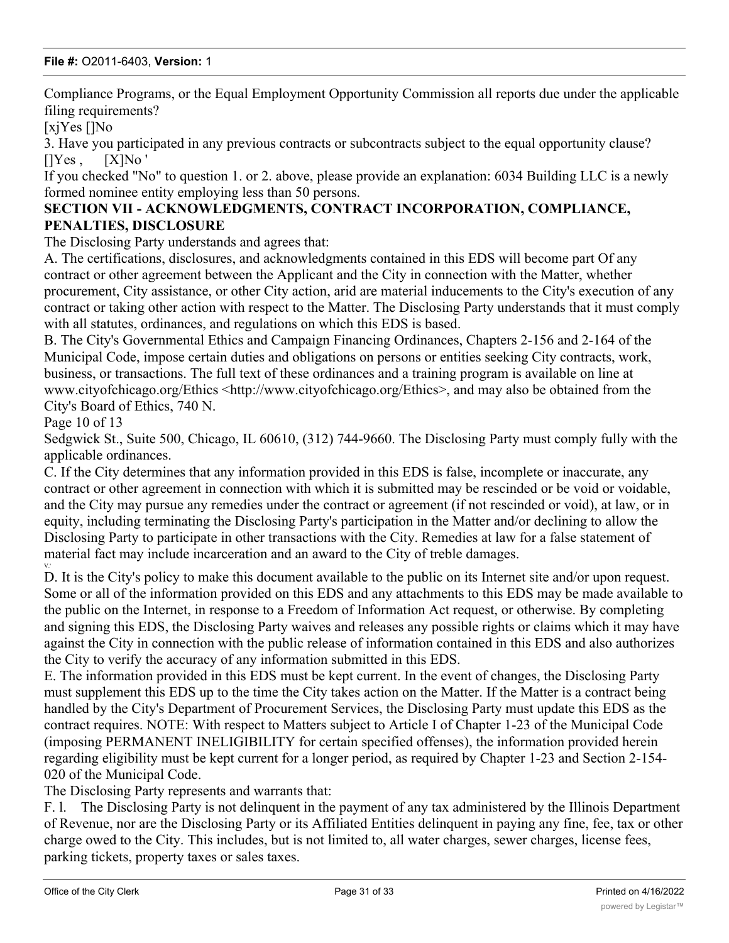Compliance Programs, or the Equal Employment Opportunity Commission all reports due under the applicable filing requirements?

[xjYes []No

3. Have you participated in any previous contracts or subcontracts subject to the equal opportunity clause? []Yes , [X]No '

If you checked "No" to question 1. or 2. above, please provide an explanation: 6034 Building LLC is a newly formed nominee entity employing less than 50 persons.

# **SECTION VII - ACKNOWLEDGMENTS, CONTRACT INCORPORATION, COMPLIANCE, PENALTIES, DISCLOSURE**

The Disclosing Party understands and agrees that:

A. The certifications, disclosures, and acknowledgments contained in this EDS will become part Of any contract or other agreement between the Applicant and the City in connection with the Matter, whether procurement, City assistance, or other City action, arid are material inducements to the City's execution of any contract or taking other action with respect to the Matter. The Disclosing Party understands that it must comply with all statutes, ordinances, and regulations on which this EDS is based.

B. The City's Governmental Ethics and Campaign Financing Ordinances, Chapters 2-156 and 2-164 of the Municipal Code, impose certain duties and obligations on persons or entities seeking City contracts, work, business, or transactions. The full text of these ordinances and a training program is available on line at www.cityofchicago.org/Ethics <http://www.cityofchicago.org/Ethics>, and may also be obtained from the City's Board of Ethics, 740 N.

Page 10 of 13

V.'

Sedgwick St., Suite 500, Chicago, IL 60610, (312) 744-9660. The Disclosing Party must comply fully with the applicable ordinances.

C. If the City determines that any information provided in this EDS is false, incomplete or inaccurate, any contract or other agreement in connection with which it is submitted may be rescinded or be void or voidable, and the City may pursue any remedies under the contract or agreement (if not rescinded or void), at law, or in equity, including terminating the Disclosing Party's participation in the Matter and/or declining to allow the Disclosing Party to participate in other transactions with the City. Remedies at law for a false statement of material fact may include incarceration and an award to the City of treble damages.

D. It is the City's policy to make this document available to the public on its Internet site and/or upon request. Some or all of the information provided on this EDS and any attachments to this EDS may be made available to the public on the Internet, in response to a Freedom of Information Act request, or otherwise. By completing and signing this EDS, the Disclosing Party waives and releases any possible rights or claims which it may have against the City in connection with the public release of information contained in this EDS and also authorizes the City to verify the accuracy of any information submitted in this EDS.

E. The information provided in this EDS must be kept current. In the event of changes, the Disclosing Party must supplement this EDS up to the time the City takes action on the Matter. If the Matter is a contract being handled by the City's Department of Procurement Services, the Disclosing Party must update this EDS as the contract requires. NOTE: With respect to Matters subject to Article I of Chapter 1-23 of the Municipal Code (imposing PERMANENT INELIGIBILITY for certain specified offenses), the information provided herein regarding eligibility must be kept current for a longer period, as required by Chapter 1-23 and Section 2-154- 020 of the Municipal Code.

The Disclosing Party represents and warrants that:

F. l. The Disclosing Party is not delinquent in the payment of any tax administered by the Illinois Department of Revenue, nor are the Disclosing Party or its Affiliated Entities delinquent in paying any fine, fee, tax or other charge owed to the City. This includes, but is not limited to, all water charges, sewer charges, license fees, parking tickets, property taxes or sales taxes.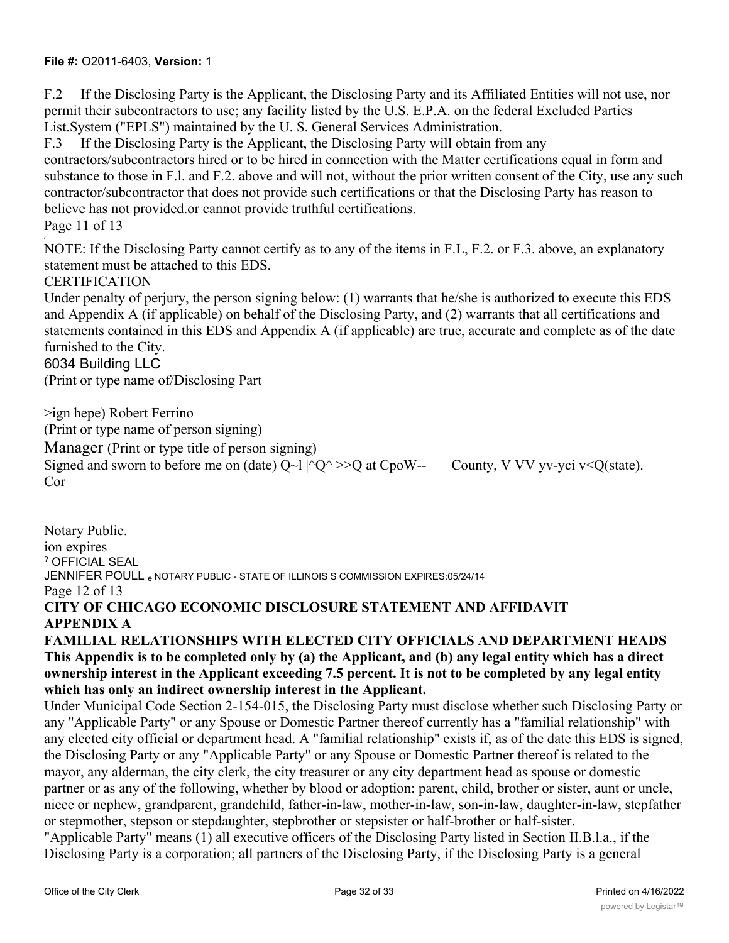F.2 If the Disclosing Party is the Applicant, the Disclosing Party and its Affiliated Entities will not use, nor permit their subcontractors to use; any facility listed by the U.S. E.P.A. on the federal Excluded Parties List.System ("EPLS") maintained by the U. S. General Services Administration.

F.3 If the Disclosing Party is the Applicant, the Disclosing Party will obtain from any contractors/subcontractors hired or to be hired in connection with the Matter certifications equal in form and substance to those in F.l. and F.2. above and will not, without the prior written consent of the City, use any such contractor/subcontractor that does not provide such certifications or that the Disclosing Party has reason to believe has not provided.or cannot provide truthful certifications.

Page 11 of 13 *r*

NOTE: If the Disclosing Party cannot certify as to any of the items in F.L, F.2. or F.3. above, an explanatory statement must be attached to this EDS.

# CERTIFICATION

Under penalty of perjury, the person signing below: (1) warrants that he/she is authorized to execute this EDS and Appendix A (if applicable) on behalf of the Disclosing Party, and (2) warrants that all certifications and statements contained in this EDS and Appendix A (if applicable) are true, accurate and complete as of the date furnished to the City.

6034 Building LLC

(Print or type name of/Disclosing Part

>ign hepe) Robert Ferrino (Print or type name of person signing) Manager (Print or type title of person signing) Signed and sworn to before me on (date)  $Q~1 \, |^{\wedge}Q^{\wedge} \rangle > Q$  at CpoW-- County, V VV yv-yci v<Q(state). Cor

Notary Public. ion expires ? OFFICIAL SEAL JENNIFER POULL e NOTARY PUBLIC - STATE OF ILLINOIS S COMMISSION EXPIRES:05/24/14 Page 12 of 13 **CITY OF CHICAGO ECONOMIC DISCLOSURE STATEMENT AND AFFIDAVIT APPENDIX A**

# **FAMILIAL RELATIONSHIPS WITH ELECTED CITY OFFICIALS AND DEPARTMENT HEADS This Appendix is to be completed only by (a) the Applicant, and (b) any legal entity which has a direct ownership interest in the Applicant exceeding 7.5 percent. It is not to be completed by any legal entity which has only an indirect ownership interest in the Applicant.**

Under Municipal Code Section 2-154-015, the Disclosing Party must disclose whether such Disclosing Party or any "Applicable Party" or any Spouse or Domestic Partner thereof currently has a "familial relationship" with any elected city official or department head. A "familial relationship" exists if, as of the date this EDS is signed, the Disclosing Party or any "Applicable Party" or any Spouse or Domestic Partner thereof is related to the mayor, any alderman, the city clerk, the city treasurer or any city department head as spouse or domestic partner or as any of the following, whether by blood or adoption: parent, child, brother or sister, aunt or uncle, niece or nephew, grandparent, grandchild, father-in-law, mother-in-law, son-in-law, daughter-in-law, stepfather or stepmother, stepson or stepdaughter, stepbrother or stepsister or half-brother or half-sister.

"Applicable Party" means (1) all executive officers of the Disclosing Party listed in Section II.B.l.a., if the Disclosing Party is a corporation; all partners of the Disclosing Party, if the Disclosing Party is a general